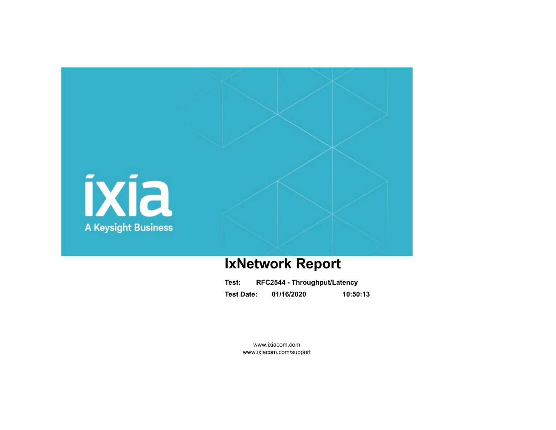

# **IxNetwork Report**

| Test:             | RFC2544 - Throughput/Latency |          |  |  |  |  |  |  |
|-------------------|------------------------------|----------|--|--|--|--|--|--|
| <b>Test Date:</b> | 01/16/2020                   | 10:50:13 |  |  |  |  |  |  |

www.ixiacom.com www.ixiacom.com/support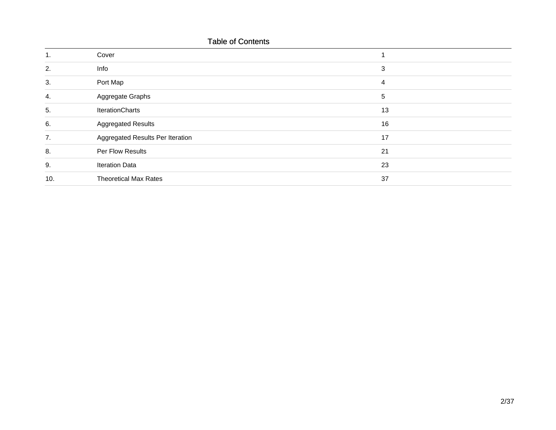|     | <b>Table of Contents</b>         |    |
|-----|----------------------------------|----|
| 1.  | Cover                            |    |
| 2.  | Info                             | 3  |
| 3.  | Port Map                         | 4  |
| 4.  | Aggregate Graphs                 | 5  |
| 5.  | <b>IterationCharts</b>           | 13 |
| 6.  | <b>Aggregated Results</b>        | 16 |
| 7.  | Aggregated Results Per Iteration | 17 |
| 8.  | Per Flow Results                 | 21 |
| 9.  | <b>Iteration Data</b>            | 23 |
| 10. | <b>Theoretical Max Rates</b>     | 37 |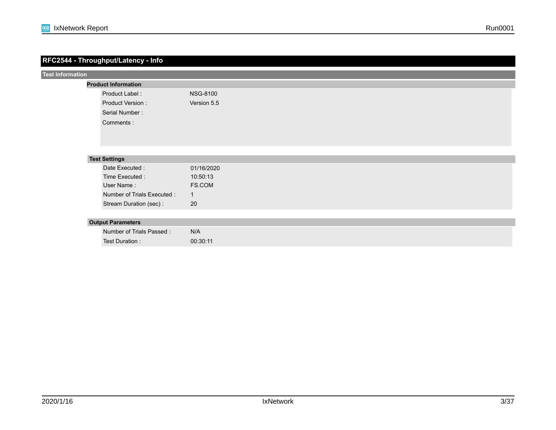### **RFC2544 - Throughput/Latency - Info** Test Duration : Stream Duration (sec) : Number of Trials Passed : Number of Trials Executed : **Test Settings** User Name : Time Executed : Date Executed : **Test Information** 01/16/2020 10:50:13 FS.COM 1 N/A 20 00:30:11  **Output Parameters Product Information** Product Label : Product Version : Serial Number : Comments : NSG-8100 Version 5.5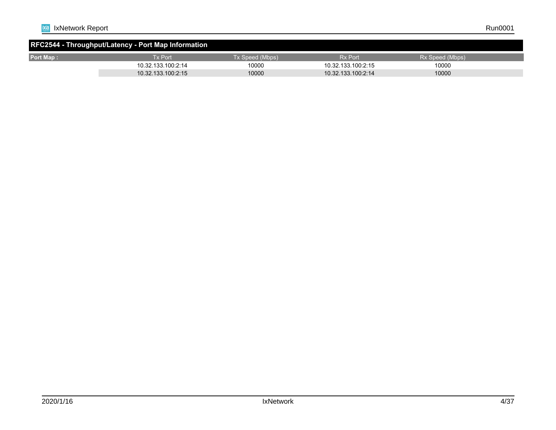| RFC2544 - Throughput/Latency - Port Map Information |                    |                 |                    |                 |  |  |  |  |  |  |  |
|-----------------------------------------------------|--------------------|-----------------|--------------------|-----------------|--|--|--|--|--|--|--|
| <b>Port Map:</b>                                    | Tx Port            | Tx Speed (Mbps) | <b>Rx Port</b>     | Rx Speed (Mbps) |  |  |  |  |  |  |  |
|                                                     | 10.32.133.100:2:14 | 10000           | 10.32.133.100:2:15 | 10000           |  |  |  |  |  |  |  |
|                                                     | 10.32.133.100:2:15 | 10000           | 10.32.133.100:2:14 | 10000           |  |  |  |  |  |  |  |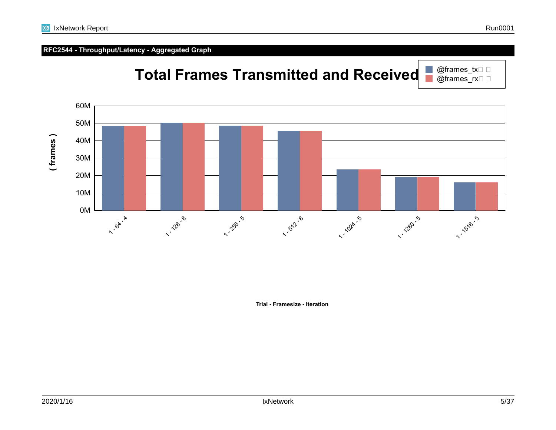

**Trial - Framesize - Iteration**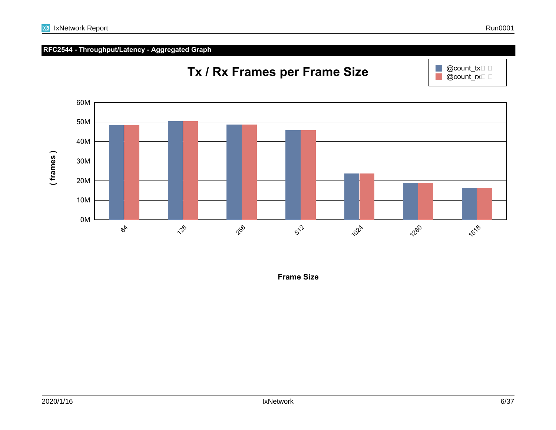

**Frame Size**

## **RFC2544 - Throughput/Latency - Aggregated Graph**



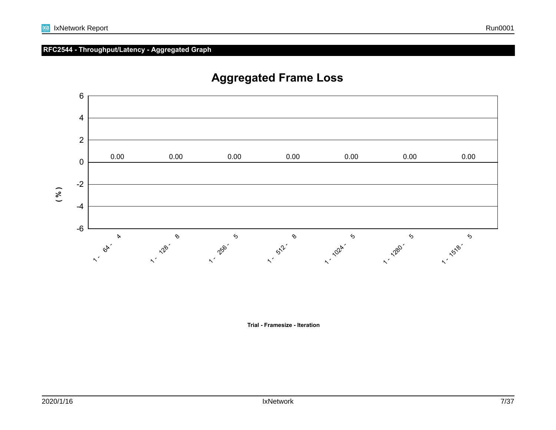

## **Aggregated Frame Loss**

**Trial - Framesize - Iteration**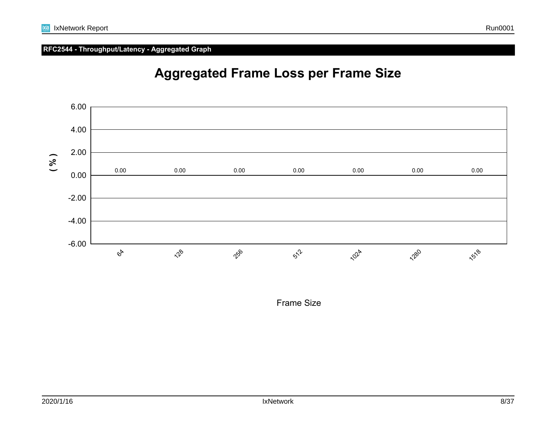



Frame Size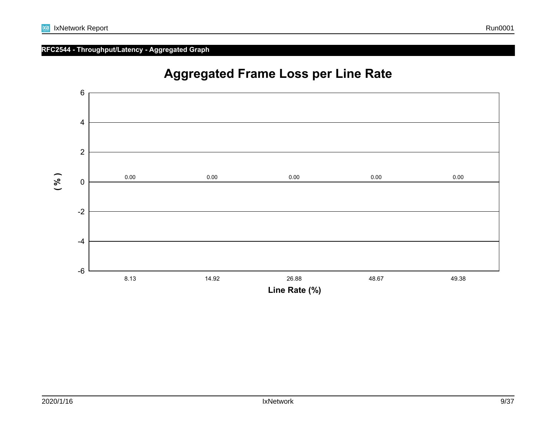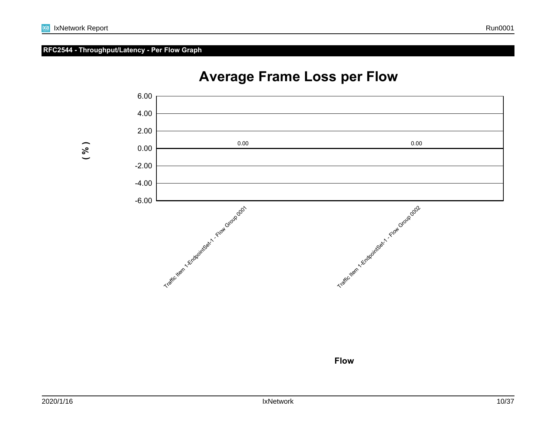## **RFC2544 - Throughput/Latency - Per Flow Graph**



# **Average Frame Loss per Flow**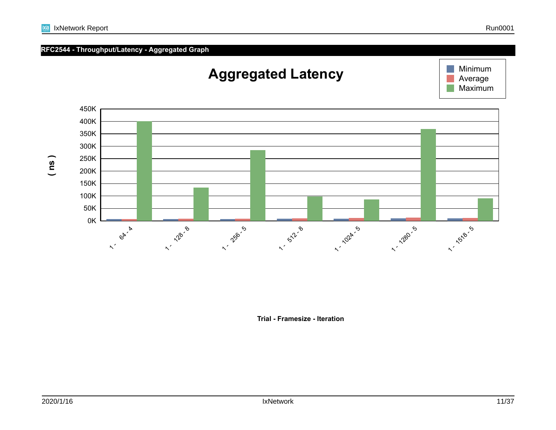| <b>R</b> IxNetwork Report | Run0001 |
|---------------------------|---------|
|---------------------------|---------|

# **Aggregated Latency**





**Trial - Framesize - Iteration**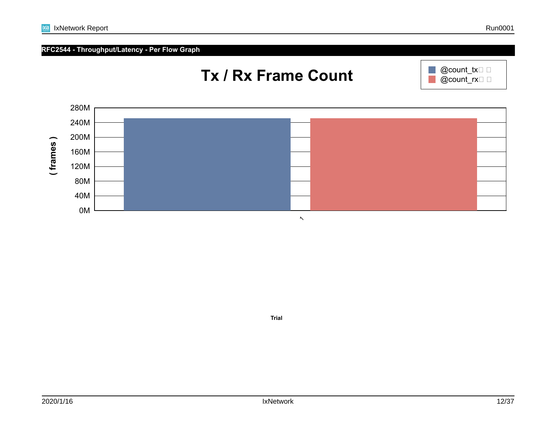**Trial**



ixia





@count\_tx $\square$   $\square$  $@count$ <sub>rx</sub> $\Box$ 

 $\mathbb{R}^n$  $\mathbb{R}^n$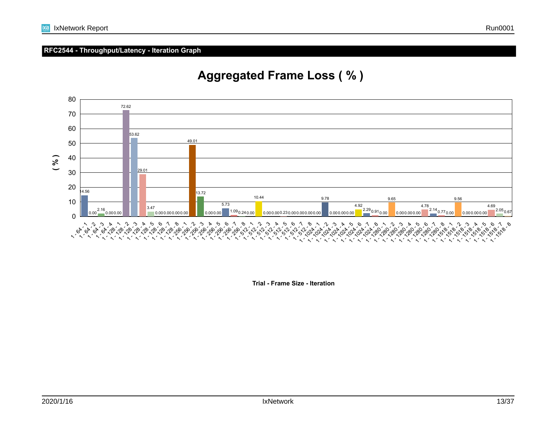## **RFC2544 - Throughput/Latency - Iteration Graph**



## **Aggregated Frame Loss ( % )**

**Trial - Frame Size - Iteration**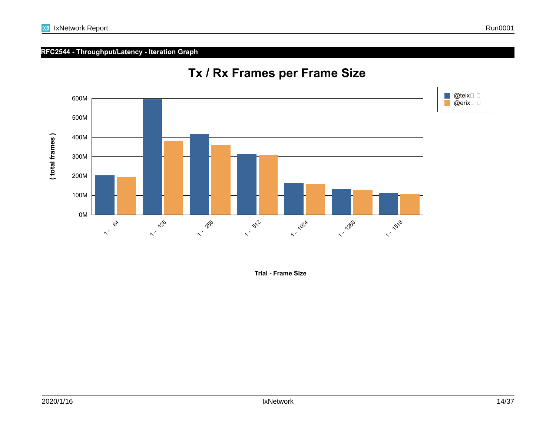## **RFC2544 - Throughput/Latency - Iteration Graph**



## **Tx / Rx Frames per Frame Size**

**Trial - Frame Size**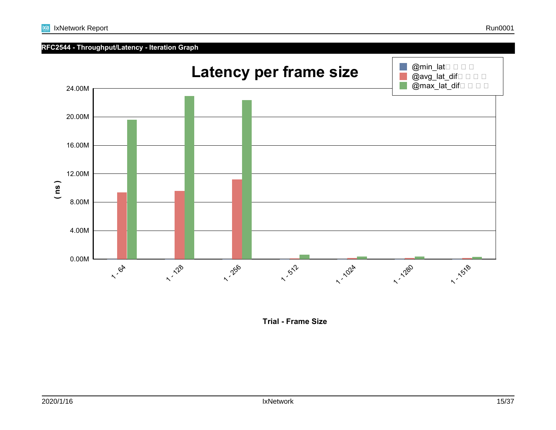## **RFC2544 - Throughput/Latency - Iteration Graph**



**Trial - Frame Size**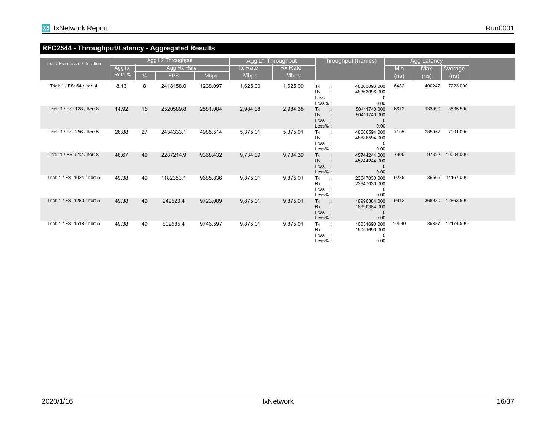

## **RFC2544 - Throughput/Latency - Aggregated Results**

| Trial / Framesize / Iteration | Agg L2 Throughput |    |             |             |                        | Agg L1 Throughput      |                                                   | Throughput (frames)                                  | Agg Latency |                   |                 |  |
|-------------------------------|-------------------|----|-------------|-------------|------------------------|------------------------|---------------------------------------------------|------------------------------------------------------|-------------|-------------------|-----------------|--|
|                               | AggTx<br>Rate %   | %  | Agg Rx Rate |             | Tx Rate<br><b>Mbps</b> | Rx Rate<br><b>Mbps</b> |                                                   |                                                      | Min         | <b>Max</b>        | Average         |  |
|                               |                   |    | <b>FPS</b>  | <b>Mbps</b> |                        |                        |                                                   |                                                      | (ns)        | (n <sub>s</sub> ) | (ns)            |  |
| Trial: 1 / FS: 64 / Iter: 4   | 8.13              | 8  | 2418158.0   | 1238.097    | 1,625.00               | 1,625.00               | Tx<br><b>Rx</b><br>Loss<br>Loss%:                 | 48363096.000<br>48363096.000<br>0<br>0.00            | 6482        | 400242            | 7223.000        |  |
| Trial: 1 / FS: 128 / Iter: 8  | 14.92             | 15 | 2520589.8   | 2581.084    | 2,984.38               | 2.984.38               | Tx<br>Rx<br>Loss<br>$Loss%$ :                     | 50411740.000<br>50411740.000<br>$\mathbf{0}$<br>0.00 | 6672        | 133990            | 8535.500        |  |
| Trial: 1 / FS: 256 / Iter: 5  | 26.88             | 27 | 2434333.1   | 4985.514    | 5,375.01               | 5.375.01               | Tx<br>Rx<br>Loss<br>Loss%:                        | 48686594.000<br>48686594.000<br>0<br>0.00            | 7105        | 285052            | 7901.000        |  |
| Trial: 1 / FS: 512 / Iter: 8  | 48.67             | 49 | 2287214.9   | 9368.432    | 9,734.39               | 9,734.39               | Tx<br>$\sim$ 100<br><b>Rx</b><br>Loss :<br>Loss%: | 45744244.000<br>45744244.000<br>$\mathbf 0$<br>0.00  | 7900        |                   | 97322 10004.000 |  |
| Trial: 1 / FS: 1024 / Iter: 5 | 49.38             | 49 | 1182353.1   | 9685.836    | 9,875.01               | 9,875.01               | Tx<br>Rx<br>Loss<br>Loss%:                        | 23647030.000<br>23647030.000<br>0<br>0.00            | 9235        |                   | 86565 11167.000 |  |
| Trial: 1 / FS: 1280 / Iter: 5 | 49.38             | 49 | 949520.4    | 9723.089    | 9,875.01               | 9,875.01               | Tx<br>Rx<br>Loss :<br>$Loss%$ :                   | 18990384.000<br>18990384.000<br>$\mathbf{0}$<br>0.00 | 9912        | 368930            | 12863.500       |  |
| Trial: 1 / FS: 1518 / Iter: 5 | 49.38             | 49 | 802585.4    | 9746.597    | 9.875.01               | 9.875.01               | Tx<br>$\sim$ 1<br><b>Rx</b><br>Loss<br>$Loss%$ :  | 16051690.000<br>16051690.000<br>0<br>0.00            | 10530       | 89887             | 12174.500       |  |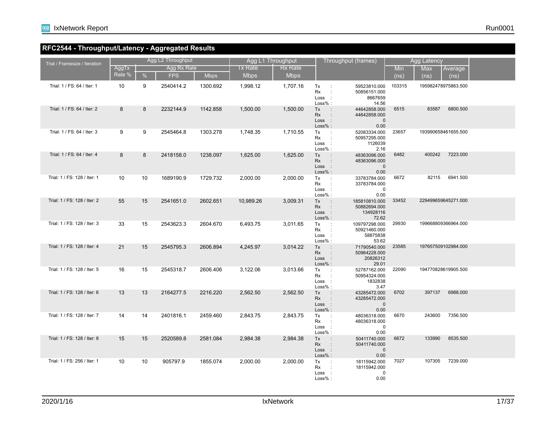

## **RFC2544 - Throughput/Latency - Aggregated Results**

| Trial / Framesize / Iteration | Agg L2 Throughput |               |             |             | Agg L1 Throughput |                | Throughput (frames)                                                              |                                                      | Agg Latency |                           |  |
|-------------------------------|-------------------|---------------|-------------|-------------|-------------------|----------------|----------------------------------------------------------------------------------|------------------------------------------------------|-------------|---------------------------|--|
|                               | AggTx             |               | Agg Rx Rate |             | <b>Tx Rate</b>    | <b>Rx Rate</b> |                                                                                  |                                                      | Min         | Max<br>∣Average           |  |
|                               | Rate %            | $\frac{9}{6}$ | <b>FPS</b>  | <b>Mbps</b> | <b>Mbps</b>       | <b>Mbps</b>    |                                                                                  |                                                      | (ns)        | (ns)<br>(n <sub>s</sub> ) |  |
| Trial: 1 / FS: 64 / Iter: 1   | 10                | 9             | 2540414.2   | 1300.692    | 1,998.12          | 1,707.16       | Tx<br>$\sim$<br>Rx<br>$\ddot{\phantom{a}}$<br>Loss :<br>$Loss%$ :                | 59523810.000<br>50856151.000<br>8667659<br>14.56     | 103315      | 195982478975863.500       |  |
| Trial: 1 / FS: 64 / Iter: 2   | 8                 | 8             | 2232144.9   | 1142.858    | 1,500.00          | 1,500.00       | Tx<br>$\mathbb{R}^2$<br><b>Rx</b><br>$\sim$ 1 $\sim$<br>Loss :<br>Loss% :        | 44642858.000<br>44642858.000<br>$\mathbf 0$<br>0.00  | 6515        | 6800.500<br>83587         |  |
| Trial: 1 / FS: 64 / Iter: 3   | 9                 | 9             | 2545464.8   | 1303.278    | 1,748.35          | 1,710.55       | Tx<br>$\sim$ 1.<br>Rx<br>$\cdot$ :<br>Loss :<br>Loss% :                          | 52083334.000<br>50957295.000<br>1126039<br>2.16      | 23657       | 193990658461655.500       |  |
| Trial: 1 / FS: 64 / Iter: 4   | 8                 | 8             | 2418158.0   | 1238.097    | 1,625.00          | 1,625.00       | Tx<br>$\mathbb{R}^2$<br>Rx<br>$\sim$ 1 $\sim$<br>Loss :<br>Loss% :               | 48363096.000<br>48363096.000<br>$\mathbf 0$<br>0.00  | 6482        | 400242<br>7223.000        |  |
| Trial: 1 / FS: 128 / Iter: 1  | 10                | 10            | 1689190.9   | 1729.732    | 2,000.00          | 2,000.00       | Tx<br>$\mathbb{R}^2$<br>Rx<br>$\ddot{\phantom{a}}$<br>Loss<br>$\sim$ 1<br>Loss%: | 33783784.000<br>33783784.000<br>0<br>0.00            | 6672        | 82115<br>6941.500         |  |
| Trial: 1 / FS: 128 / Iter: 2  | 55                | 15            | 2541651.0   | 2602.651    | 10,989.26         | 3,009.31       | Tx<br>$\pm$<br><b>Rx</b><br>$\pm$<br>Loss :<br>Loss% :                           | 185810810.000<br>50882694.000<br>134928116<br>72.62  | 33452       | 229499659645271.000       |  |
| Trial: 1 / FS: 128 / Iter: 3  | 33                | 15            | 2543623.3   | 2604.670    | 6,493.75          | 3.011.65       | Tx<br>$\sim 10$<br>Rx<br>- 11<br>Loss :<br>$Loss%$ :                             | 109797298.000<br>50921460.000<br>58875838<br>53.62   | 29930       | 199668809366964.000       |  |
| Trial: 1 / FS: 128 / Iter: 4  | 21                | 15            | 2545795.3   | 2606.894    | 4,245.97          | 3,014.22       | Tx<br>$\rightarrow$<br><b>Rx</b><br>$\sim$<br>Loss:<br>Loss% :                   | 71790540.000<br>50964228.000<br>20826312<br>29.01    | 23585       | 197657509102984.000       |  |
| Trial: 1 / FS: 128 / Iter: 5  | 16                | 15            | 2545318.7   | 2606.406    | 3,122.06          | 3,013.66       | Tx<br>$\mathbb{R}^2$<br>Rx<br>$\cdot$ :<br>Loss :<br>Loss%:                      | 52787162.000<br>50954324.000<br>1832838<br>3.47      | 22090       | 194770828619905.500       |  |
| Trial: 1 / FS: 128 / Iter: 6  | 13                | 13            | 2164277.5   | 2216.220    | 2,562.50          | 2,562.50       | Tx<br>$\sim$<br>$\mathbb{R}^2$<br><b>Rx</b><br>Loss:<br>Loss% :                  | 43285472.000<br>43285472.000<br>$\mathbf{0}$<br>0.00 | 6702        | 397137<br>6988,000        |  |
| Trial: 1 / FS: 128 / Iter: 7  | 14                | 14            | 2401816.1   | 2459.460    | 2,843.75          | 2,843.75       | Tx<br>$\sim 10$<br>Rx<br>$\sim$ 1.<br>Loss :<br>$Loss%$ :                        | 48036318.000<br>48036318.000<br>$\mathbf 0$<br>0.00  | 6670        | 243600<br>7356.500        |  |
| Trial: 1 / FS: 128 / Iter: 8  | 15                | 15            | 2520589.8   | 2581.084    | 2,984.38          | 2,984.38       | Tx<br>$\sim$ 1.<br><b>Rx</b><br>۰<br>Loss :<br>Loss% :                           | 50411740.000<br>50411740.000<br>$\mathbf 0$<br>0.00  | 6672        | 133990<br>8535.500        |  |
| Trial: 1 / FS: 256 / Iter: 1  | 10                | 10            | 905797.9    | 1855.074    | 2,000.00          | 2,000.00       | Tx<br>$\mathbb{R}^2$<br>Rx<br>Loss<br>$Loss%$ :                                  | 18115942.000<br>18115942.000<br>0<br>0.00            | 7027        | 107305<br>7239.000        |  |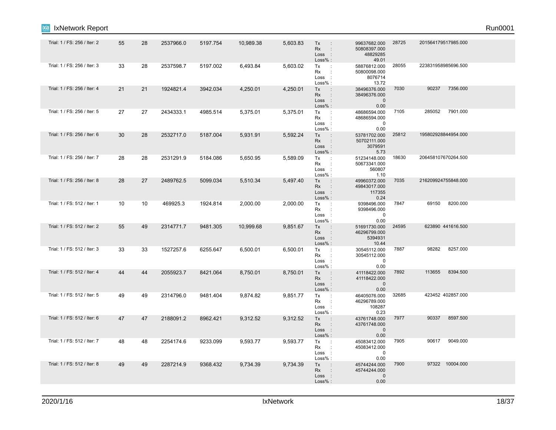| <b>IxNetwork Report</b><br><b>IXIA</b> |    |    |           |          |           |          |                                                                                          |                                                        |       |                     | Run0001 |
|----------------------------------------|----|----|-----------|----------|-----------|----------|------------------------------------------------------------------------------------------|--------------------------------------------------------|-------|---------------------|---------|
| Trial: 1 / FS: 256 / Iter: 2           | 55 | 28 | 2537966.0 | 5197.754 | 10,989.38 | 5,603.83 | Tx<br>$\pm$<br><b>Rx</b><br>$\mathcal{L}$<br>Loss :<br>Loss% :                           | 99637682.000<br>50808397.000<br>48829285<br>49.01      | 28725 | 201564179517985.000 |         |
| Trial: 1 / FS: 256 / Iter: 3           | 33 | 28 | 2537598.7 | 5197.002 | 6,493.84  | 5,603.02 | Tx<br>$\pm$<br>Rx<br>$\ddot{\phantom{a}}$<br>$\sim$ 1.<br>Loss<br>Loss% :                | 58876812.000<br>50800098.000<br>8076714<br>13.72       | 28055 | 223831958985696.500 |         |
| Trial: 1 / FS: 256 / Iter: 4           | 21 | 21 | 1924821.4 | 3942.034 | 4,250.01  | 4,250.01 | Tx<br>$\sim$<br><b>Rx</b><br>$\ddot{\phantom{a}}$<br>Loss :<br>Loss% :                   | 38496376.000<br>38496376.000<br>$\mathbf 0$<br>0.00    | 7030  | 90237<br>7356.000   |         |
| Trial: 1 / FS: 256 / Iter: 5           | 27 | 27 | 2434333.1 | 4985.514 | 5,375.01  | 5,375.01 | Tx<br>$\sim$ 1 $^{\circ}$<br>Rx<br>$\pm$<br>Loss<br>$\sim$ 1.<br>Loss% :                 | 48686594.000<br>48686594.000<br>$\mathbf 0$<br>0.00    | 7105  | 7901.000<br>285052  |         |
| Trial: 1 / FS: 256 / Iter: 6           | 30 | 28 | 2532717.0 | 5187.004 | 5,931.91  | 5,592.24 | Tx<br>$\sim$ 1 $\sim$<br><b>Rx</b><br>$\mathbb{Z}^{\times}$<br>Loss :<br>Loss% :         | 53781702.000<br>50702111.000<br>3079591<br>5.73        | 25812 | 195802928844954.000 |         |
| Trial: 1 / FS: 256 / Iter: 7           | 28 | 28 | 2531291.9 | 5184.086 | 5,650.95  | 5,589.09 | $\pm$<br>Tx<br>Rx<br>$\pm$<br>$\sim 1$<br>Loss<br>Loss%:                                 | 51234148.000<br>50673341.000<br>560807<br>1.10         | 18630 | 206458107670264.500 |         |
| Trial: 1 / FS: 256 / Iter: 8           | 28 | 27 | 2489762.5 | 5099.034 | 5,510.34  | 5,497.40 | Tx<br>$\ddot{\phantom{a}}$<br><b>Rx</b><br>$\mathbb{Z}^{\times}$<br>Loss :<br>$Loss\%$ : | 49960372.000<br>49843017.000<br>117355<br>0.24         | 7035  | 216209924755848.000 |         |
| Trial: 1 / FS: 512 / Iter: 1           | 10 | 10 | 469925.3  | 1924.814 | 2,000.00  | 2,000.00 | Tx<br>$\sim 10$<br>Rx<br>$\ddot{\phantom{a}}$<br>Loss :<br>$Loss%$ :                     | 9398496.000<br>9398496.000<br>$\overline{0}$<br>0.00   | 7847  | 8200.000<br>69150   |         |
| Trial: 1 / FS: 512 / Iter: 2           | 55 | 49 | 2314771.7 | 9481.305 | 10,999.68 | 9,851.67 | Tx<br>$\pm$<br>Rx<br>$\mathbb{Z}^{\times}$<br>Loss :<br>Loss% :                          | 51691730.000<br>46296799.000<br>5394931<br>10.44       | 24595 | 623890 441616.500   |         |
| Trial: 1 / FS: 512 / Iter: 3           | 33 | 33 | 1527257.6 | 6255.647 | 6,500.01  | 6,500.01 | Tx<br>$\sim$<br>Rx<br>÷<br>Loss<br>$\mathbb{R}^2$<br>Loss% :                             | 30545112.000<br>30545112.000<br>$\overline{0}$<br>0.00 | 7887  | 98282<br>8257.000   |         |
| Trial: 1 / FS: 512 / Iter: 4           | 44 | 44 | 2055923.7 | 8421.064 | 8,750.01  | 8,750.01 | Tx<br>$\mathbb{R}^2$<br>Rx<br>÷<br>Loss:<br>Loss% :                                      | 41118422.000<br>41118422.000<br>$\overline{0}$<br>0.00 | 7892  | 113655<br>8394.500  |         |
| Trial: 1 / FS: 512 / Iter: 5           | 49 | 49 | 2314796.0 | 9481.404 | 9,874.82  | 9,851.77 | Tx<br>$\pm$<br>Rx<br>$\ddot{\phantom{a}}$<br>Loss :<br>$Loss%$ :                         | 46405076.000<br>46296789.000<br>108287<br>0.23         | 32685 | 423452 402857.000   |         |
| Trial: 1 / FS: 512 / Iter: 6           | 47 | 47 | 2188091.2 | 8962.421 | 9,312.52  | 9,312.52 | $\sim$ 1 $\sim$<br>Tx<br>Rx<br>$\ddot{\phantom{a}}$<br>Loss:<br>Loss% :                  | 43761748.000<br>43761748.000<br>$\overline{0}$<br>0.00 | 7977  | 90337<br>8597.500   |         |
| Trial: 1 / FS: 512 / Iter: 7           | 48 | 48 | 2254174.6 | 9233.099 | 9,593.77  | 9,593.77 | Tx<br>$\ddot{\phantom{a}}$<br>Rx<br>$\ddot{\phantom{a}}$<br>Loss<br>$\sim$ 1.<br>Loss% : | 45083412.000<br>45083412.000<br>$\mathbf 0$<br>0.00    | 7905  | 90617<br>9049.000   |         |
| Trial: 1 / FS: 512 / Iter: 8           | 49 | 49 | 2287214.9 | 9368.432 | 9,734.39  | 9,734.39 | Tx<br>$\ddot{\phantom{a}}$<br>Rx<br>$\ddot{\phantom{a}}$<br>Loss:<br>Loss% :             | 45744244.000<br>45744244.000<br>$\mathbf{0}$<br>0.00   | 7900  | 97322 10004.000     |         |
|                                        |    |    |           |          |           |          |                                                                                          |                                                        |       |                     |         |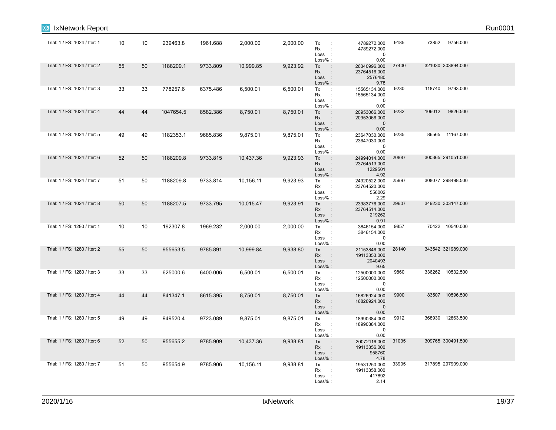| <b>IXIA</b> | <b>IxNetwork Report</b>       |    |    |           |          |           |          |                                                                                      |                                                         |       |                    | Run0001 |
|-------------|-------------------------------|----|----|-----------|----------|-----------|----------|--------------------------------------------------------------------------------------|---------------------------------------------------------|-------|--------------------|---------|
|             | Trial: 1 / FS: 1024 / Iter: 1 | 10 | 10 | 239463.8  | 1961.688 | 2,000.00  | 2,000.00 | Tx<br>$\sim$ 1.<br>Rx<br>$\cdot$<br>Loss :                                           | 4789272.000<br>4789272.000<br>$\mathbf 0$               | 9185  | 73852 9756.000     |         |
|             | Trial: 1 / FS: 1024 / Iter: 2 | 55 | 50 | 1188209.1 | 9733.809 | 10,999.85 | 9,923.92 | $Loss%$ :<br>Tx<br>$\ddot{\phantom{a}}$<br>Rx<br>$\mathbb{R}^2$<br>Loss :<br>Loss% : | 0.00<br>26340996.000<br>23764516.000<br>2576480<br>9.78 | 27400 | 321030 303894.000  |         |
|             | Trial: 1 / FS: 1024 / Iter: 3 | 33 | 33 | 778257.6  | 6375.486 | 6,500.01  | 6,500.01 | Tx<br>$\sim$<br>$\pm$<br>Rx<br>Loss :<br>$Loss%$ :                                   | 15565134.000<br>15565134.000<br>$\overline{0}$<br>0.00  | 9230  | 118740<br>9793.000 |         |
|             | Trial: 1 / FS: 1024 / Iter: 4 | 44 | 44 | 1047654.5 | 8582.386 | 8,750.01  | 8,750.01 | $\sim$ 1 $\sim$<br>Tx<br>Rx<br>$\ddot{\phantom{a}}$<br>Loss :<br>Loss% :             | 20953066.000<br>20953066.000<br>$\overline{0}$<br>0.00  | 9232  | 106012<br>9826.500 |         |
|             | Trial: 1 / FS: 1024 / Iter: 5 | 49 | 49 | 1182353.1 | 9685.836 | 9,875.01  | 9,875.01 | Tx<br>$\sim$<br>$\pm$<br><b>Rx</b><br>Loss<br>$\sim$ 1.<br>$Loss%$ :                 | 23647030.000<br>23647030.000<br>$\mathbf 0$<br>0.00     | 9235  | 86565 11167.000    |         |
|             | Trial: 1 / FS: 1024 / Iter: 6 | 52 | 50 | 1188209.8 | 9733.815 | 10,437.36 | 9,923.93 | Tx<br>$\ddot{\phantom{a}}$<br>Rx<br>$\ddot{\phantom{a}}$<br>Loss :<br>Loss%:         | 24994014.000<br>23764513.000<br>1229501<br>4.92         | 20887 | 300365 291051.000  |         |
|             | Trial: 1 / FS: 1024 / Iter: 7 | 51 | 50 | 1188209.8 | 9733.814 | 10,156.11 | 9,923.93 | Tx<br>$\pm$<br>Rx<br>$\pm$<br>Loss :<br>Loss%:                                       | 24320522.000<br>23764520.000<br>556002<br>2.29          | 25997 | 308077 298498.500  |         |
|             | Trial: 1 / FS: 1024 / Iter: 8 | 50 | 50 | 1188207.5 | 9733.795 | 10,015.47 | 9,923.91 | $\sim$ 1.<br>Tx<br>Rx<br>$\mathbb{C}^{\times}$<br>Loss :<br>Loss%:                   | 23983776.000<br>23764514.000<br>219262<br>0.91          | 29607 | 349230 303147.000  |         |
|             | Trial: 1 / FS: 1280 / Iter: 1 | 10 | 10 | 192307.8  | 1969.232 | 2,000.00  | 2,000.00 | Tx<br>$\langle \cdot \rangle$<br>Rx<br>$\sim$<br>Loss :<br>Loss%:                    | 3846154.000<br>3846154.000<br>$\overline{0}$<br>0.00    | 9857  | 70422 10540.000    |         |
|             | Trial: 1 / FS: 1280 / Iter: 2 | 55 | 50 | 955653.5  | 9785.891 | 10,999.84 | 9,938.80 | Tx<br>$\pm$<br>Rx<br>$\ddot{\phantom{a}}$<br>Loss :<br>Loss%:                        | 21153846.000<br>19113353.000<br>2040493<br>9.65         | 28140 | 343542 321989.000  |         |
|             | Trial: 1 / FS: 1280 / Iter: 3 | 33 | 33 | 625000.6  | 6400.006 | 6,500.01  | 6,500.01 | Tx<br>$\pm$<br>Rx<br>$\cdot$ :<br>Loss :<br>Loss%:                                   | 12500000.000<br>12500000.000<br>$\Omega$<br>0.00        | 9860  | 336262 10532.500   |         |
|             | Trial: 1 / FS: 1280 / Iter: 4 | 44 | 44 | 841347.1  | 8615.395 | 8,750.01  | 8,750.01 | Tx<br>$\sim$ 1 $\sim$<br>Rx<br>$\ddot{\phantom{a}}$<br>Loss :<br>Loss%:              | 16826924.000<br>16826924.000<br>$\overline{0}$<br>0.00  | 9900  | 83507 10596.500    |         |
|             | Trial: 1 / FS: 1280 / Iter: 5 | 49 | 49 | 949520.4  | 9723.089 | 9,875.01  | 9,875.01 | Tx<br>$\langle \cdot \rangle$<br>Rx<br>$\ddot{\phantom{a}}$<br>Loss :<br>$Loss%$ :   | 18990384.000<br>18990384.000<br>$\mathbf 0$<br>0.00     | 9912  | 368930 12863.500   |         |
|             | Trial: 1 / FS: 1280 / Iter: 6 | 52 | 50 | 955655.2  | 9785.909 | 10,437.36 | 9,938.81 | Tx<br>$\ddot{\phantom{a}}$<br><b>Rx</b><br>$\ddot{\phantom{a}}$<br>Loss :<br>Loss% : | 20072116.000<br>19113356.000<br>958760<br>4.78          | 31035 | 309765 300491.500  |         |
|             | Trial: 1 / FS: 1280 / Iter: 7 | 51 | 50 | 955654.9  | 9785.906 | 10,156.11 | 9,938.81 | Tx<br>$\pm$<br>Rx<br>$\cdot$<br>Loss :<br>Loss% :                                    | 19531250.000<br>19113358.000<br>417892<br>2.14          | 33905 | 317895 297909.000  |         |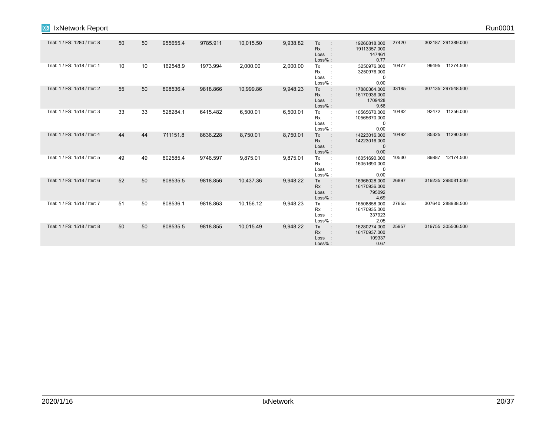| IxNetwork Report<br><b>IXIA</b> |    |    |          |          |           |          |                                                 |                                                     |       |                    | Run0001 |
|---------------------------------|----|----|----------|----------|-----------|----------|-------------------------------------------------|-----------------------------------------------------|-------|--------------------|---------|
| Trial: 1 / FS: 1280 / Iter: 8   | 50 | 50 | 955655.4 | 9785.911 | 10,015.50 | 9,938.82 | Tx<br>$\sim$ 1.<br>Rx<br>Loss :<br>Loss% :      | 19260818.000<br>19113357.000<br>147461<br>0.77      | 27420 | 302187 291389.000  |         |
| Trial: 1 / FS: 1518 / Iter: 1   | 10 | 10 | 162548.9 | 1973.994 | 2,000.00  | 2,000.00 | Tx<br>Rx<br>Loss :<br>Loss%:                    | 3250976.000<br>3250976.000<br>0<br>0.00             | 10477 | 99495 11274.500    |         |
| Trial: 1 / FS: 1518 / Iter: 2   | 55 | 50 | 808536.4 | 9818.866 | 10,999.86 | 9,948.23 | Tx<br>$\sim$ 10<br>Rx<br>Loss :<br>Loss%:       | 17880364.000<br>16170936.000<br>1709428<br>9.56     | 33185 | 307135 297548.500  |         |
| Trial: 1 / FS: 1518 / Iter: 3   | 33 | 33 | 528284.1 | 6415.482 | 6,500.01  | 6,500.01 | Tx<br>Rx<br>Loss<br>Loss%:                      | 10565670.000<br>10565670.000<br>0<br>0.00           | 10482 | 92472 11256.000    |         |
| Trial: 1 / FS: 1518 / Iter: 4   | 44 | 44 | 711151.8 | 8636.228 | 8,750.01  | 8,750.01 | Tx<br>$\sim$ :<br><b>Rx</b><br>Loss :<br>Loss%: | 14223016.000<br>14223016.000<br>$\mathbf 0$<br>0.00 | 10492 | 11290.500<br>85325 |         |
| Trial: 1 / FS: 1518 / Iter: 5   | 49 | 49 | 802585.4 | 9746.597 | 9,875.01  | 9,875.01 | Tx<br>$\sim$ :<br>Rx<br>Loss<br>Loss%:          | 16051690.000<br>16051690.000<br>0<br>0.00           | 10530 | 89887 12174.500    |         |
| Trial: 1 / FS: 1518 / Iter: 6   | 52 | 50 | 808535.5 | 9818.856 | 10,437.36 | 9,948.22 | Tx<br>Rx<br>Loss :<br>Loss%:                    | 16966028.000<br>16170936.000<br>795092<br>4.69      | 26897 | 319235 298081.500  |         |
| Trial: 1 / FS: 1518 / Iter: 7   | 51 | 50 | 808536.1 | 9818.863 | 10,156.12 | 9,948.23 | Tx<br>Rx<br>Loss :<br>Loss%:                    | 16508858.000<br>16170935.000<br>337923<br>2.05      | 27655 | 307640 288938.500  |         |
| Trial: 1 / FS: 1518 / Iter: 8   | 50 | 50 | 808535.5 | 9818.855 | 10,015.49 | 9,948.22 | Tx<br>$\sim$ 1<br>Rx<br>Loss :<br>$Loss%$ :     | 16280274.000<br>16170937.000<br>109337<br>0.67      | 25957 | 319755 305506.500  |         |
|                                 |    |    |          |          |           |          |                                                 |                                                     |       |                    |         |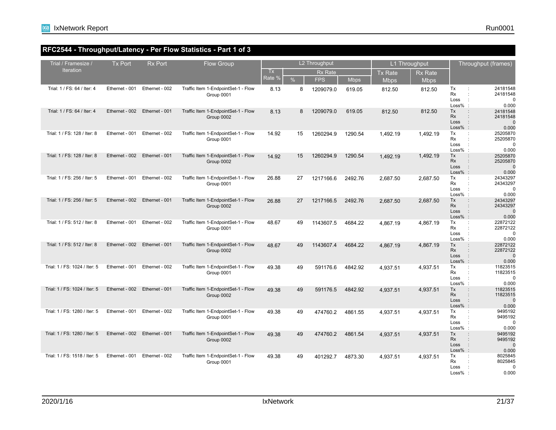## **RFC2544 - Throughput/Latency - Per Flow Statistics - Part 1 of 3**

| Trial / Framesize /           | <b>Tx Port</b> | <b>Rx Port</b> | <b>Flow Group</b>                                 |           |               | L2 Throughput  |             |                | L1 Throughput  |                                                                    | Throughput (frames)                          |
|-------------------------------|----------------|----------------|---------------------------------------------------|-----------|---------------|----------------|-------------|----------------|----------------|--------------------------------------------------------------------|----------------------------------------------|
| <b>Iteration</b>              |                |                |                                                   | <b>Tx</b> |               | <b>Rx Rate</b> |             | <b>Tx Rate</b> | <b>Rx Rate</b> |                                                                    |                                              |
|                               |                |                |                                                   | Rate %    | $\frac{9}{6}$ | <b>FPS</b>     | <b>Mbps</b> | <b>Mbps</b>    | <b>Mbps</b>    |                                                                    |                                              |
| Trial: 1 / FS: 64 / Iter: 4   | Ethernet - 001 | Ethernet - 002 | Traffic Item 1-EndpointSet-1 - Flow<br>Group 0001 | 8.13      | 8             | 1209079.0      | 619.05      | 812.50         | 812.50         | Tx<br>÷<br>Rx<br>Loss<br>$\ddot{\phantom{a}}$<br>$Loss%$ :         | 24181548<br>24181548<br>0<br>0.000           |
| Trial: 1 / FS: 64 / Iter: 4   | Ethernet - 002 | Ethernet - 001 | Traffic Item 1-EndpointSet-1 - Flow<br>Group 0002 | 8.13      | 8             | 1209079.0      | 619.05      | 812.50         | 812.50         | Tx<br><b>Rx</b><br>Loss<br>$Loss%$ :                               | 24181548<br>24181548<br>$\Omega$<br>0.000    |
| Trial: 1 / FS: 128 / Iter: 8  | Ethernet - 001 | Ethernet - 002 | Traffic Item 1-EndpointSet-1 - Flow<br>Group 0001 | 14.92     | 15            | 1260294.9      | 1290.54     | 1,492.19       | 1,492.19       | Tx<br>$\ddot{\phantom{a}}$<br>Rx<br>Loss<br>$\cdot$ :<br>$Loss%$ : | 25205870<br>25205870<br>$\Omega$<br>0.000    |
| Trial: 1 / FS: 128 / Iter: 8  | Ethernet - 002 | Ethernet - 001 | Traffic Item 1-EndpointSet-1 - Flow<br>Group 0002 | 14.92     | 15            | 1260294.9      | 1290.54     | 1,492.19       | 1,492.19       | Tx<br><b>Rx</b><br>Loss<br>$\cdot$<br>$Loss%$ :                    | 25205870<br>25205870<br>$\mathbf 0$<br>0.000 |
| Trial: 1 / FS: 256 / Iter: 5  | Ethernet - 001 | Ethernet - 002 | Traffic Item 1-EndpointSet-1 - Flow<br>Group 0001 | 26.88     | 27            | 1217166.6      | 2492.76     | 2.687.50       | 2.687.50       | Tx<br>Rx<br>Loss<br>$\ddot{\phantom{a}}$<br>Loss%                  | 24343297<br>24343297<br>0<br>0.000           |
| Trial: 1 / FS: 256 / Iter: 5  | Ethernet - 002 | Ethernet - 001 | Traffic Item 1-EndpointSet-1 - Flow<br>Group 0002 | 26.88     | 27            | 1217166.5      | 2492.76     | 2,687.50       | 2,687.50       | Tx<br><b>Rx</b><br>Loss<br>$Loss%$ :                               | 24343297<br>24343297<br>$\Omega$<br>0.000    |
| Trial: 1 / FS: 512 / Iter: 8  | Ethernet - 001 | Ethernet - 002 | Traffic Item 1-EndpointSet-1 - Flow<br>Group 0001 | 48.67     | 49            | 1143607.5      | 4684.22     | 4,867.19       | 4,867.19       | Tx<br>÷<br>Rx<br>Loss<br>$\cdot$<br>$Loss%$ :                      | 22872122<br>22872122<br>$\Omega$<br>0.000    |
| Trial: 1 / FS: 512 / Iter: 8  | Ethernet - 002 | Ethernet - 001 | Traffic Item 1-EndpointSet-1 - Flow<br>Group 0002 | 48.67     | 49            | 1143607.4      | 4684.22     | 4.867.19       | 4,867.19       | Tx<br>Rx<br>Loss<br>$\cdot$<br>$Loss%$ :                           | 22872122<br>22872122<br>$\mathbf 0$<br>0.000 |
| Trial: 1 / FS: 1024 / Iter: 5 | Ethernet - 001 | Ethernet - 002 | Traffic Item 1-EndpointSet-1 - Flow<br>Group 0001 | 49.38     | 49            | 591176.6       | 4842.92     | 4,937.51       | 4,937.51       | Tx<br><b>Rx</b><br>Loss<br>$\ddot{\phantom{a}}$<br>Loss%           | 11823515<br>11823515<br>$\mathbf 0$<br>0.000 |
| Trial: 1 / FS: 1024 / Iter: 5 | Ethernet - 002 | Ethernet - 001 | Traffic Item 1-EndpointSet-1 - Flow<br>Group 0002 | 49.38     | 49            | 591176.5       | 4842.92     | 4,937.51       | 4,937.51       | Tx<br><b>Rx</b><br>Loss<br>$Loss%$ :                               | 11823515<br>11823515<br>$\Omega$<br>0.000    |
| Trial: 1 / FS: 1280 / Iter: 5 | Ethernet - 001 | Ethernet - 002 | Traffic Item 1-EndpointSet-1 - Flow<br>Group 0001 | 49.38     | 49            | 474760.2       | 4861.55     | 4,937.51       | 4,937.51       | Tx<br>÷<br>Rx<br>Loss<br>$\cdot$<br>$Loss%$ :                      | 9495192<br>9495192<br>$\mathbf 0$<br>0.000   |
| Trial: 1 / FS: 1280 / Iter: 5 | Ethernet - 002 | Ethernet - 001 | Traffic Item 1-EndpointSet-1 - Flow<br>Group 0002 | 49.38     | 49            | 474760.2       | 4861.54     | 4,937.51       | 4,937.51       | Tx<br>Rx<br>Loss<br>$\ddot{\phantom{a}}$<br>$Loss%$ :              | 9495192<br>9495192<br>$\mathbf 0$<br>0.000   |
| Trial: 1 / FS: 1518 / Iter: 5 | Ethernet - 001 | Ethernet - 002 | Traffic Item 1-EndpointSet-1 - Flow<br>Group 0001 | 49.38     | 49            | 401292.7       | 4873.30     | 4,937.51       | 4,937.51       | Tx<br>Rx<br>Loss<br>Loss%                                          | 8025845<br>8025845<br>U<br>0.000             |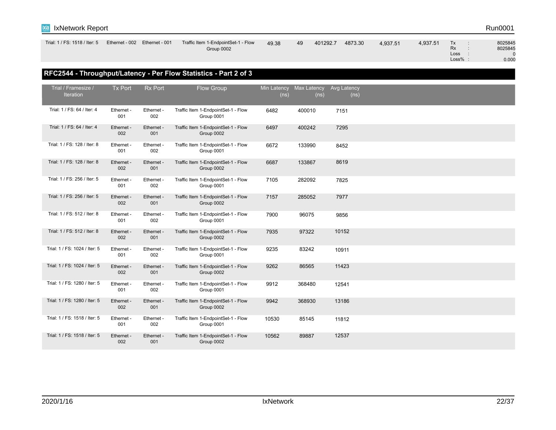

| Trial: 1 / FS: 1518 / Iter: 5 | Ethernet - 002 | Ethernet - 001 | Traffic Item 1-EndpointSet-1 - Flow | 49.38 | 49 | 401292.7 | 4873.30 | 4,937.51 | 4,937.51 | Tх        | 8025845 |
|-------------------------------|----------------|----------------|-------------------------------------|-------|----|----------|---------|----------|----------|-----------|---------|
|                               |                |                | Group 0002                          |       |    |          |         |          |          | <b>Rx</b> | 8025845 |
|                               |                |                |                                     |       |    |          |         |          |          | Loss      |         |
|                               |                |                |                                     |       |    |          |         |          |          | Loss%     | 0.000   |
|                               |                |                |                                     |       |    |          |         |          |          |           |         |

## **RFC2544 - Throughput/Latency - Per Flow Statistics - Part 2 of 3**

| Trial / Framesize /<br>Iteration | <b>Tx Port</b>    | <b>Rx Port</b>    | Flow Group                                        | Min Latency<br>(ns) | Max Latency<br>(n <sub>s</sub> ) | Avg Latency<br>(n <sub>s</sub> ) |  |  |
|----------------------------------|-------------------|-------------------|---------------------------------------------------|---------------------|----------------------------------|----------------------------------|--|--|
| Trial: 1 / FS: 64 / Iter: 4      | Ethernet -<br>001 | Ethernet -<br>002 | Traffic Item 1-EndpointSet-1 - Flow<br>Group 0001 | 6482                | 400010                           | 7151                             |  |  |
| Trial: 1 / FS: 64 / Iter: 4      | Ethernet -<br>002 | Ethernet -<br>001 | Traffic Item 1-EndpointSet-1 - Flow<br>Group 0002 | 6497                | 400242                           | 7295                             |  |  |
| Trial: 1 / FS: 128 / Iter: 8     | Ethernet -<br>001 | Ethernet -<br>002 | Traffic Item 1-EndpointSet-1 - Flow<br>Group 0001 | 6672                | 133990                           | 8452                             |  |  |
| Trial: 1 / FS: 128 / Iter: 8     | Ethernet -<br>002 | Ethernet -<br>001 | Traffic Item 1-EndpointSet-1 - Flow<br>Group 0002 | 6687                | 133867                           | 8619                             |  |  |
| Trial: 1 / FS: 256 / Iter: 5     | Ethernet -<br>001 | Ethernet -<br>002 | Traffic Item 1-EndpointSet-1 - Flow<br>Group 0001 | 7105                | 282092                           | 7825                             |  |  |
| Trial: 1 / FS: 256 / Iter: 5     | Ethernet -<br>002 | Ethernet -<br>001 | Traffic Item 1-EndpointSet-1 - Flow<br>Group 0002 | 7157                | 285052                           | 7977                             |  |  |
| Trial: 1 / FS: 512 / Iter: 8     | Ethernet -<br>001 | Ethernet -<br>002 | Traffic Item 1-EndpointSet-1 - Flow<br>Group 0001 | 7900                | 96075                            | 9856                             |  |  |
| Trial: 1 / FS: 512 / Iter: 8     | Ethernet -<br>002 | Ethernet -<br>001 | Traffic Item 1-EndpointSet-1 - Flow<br>Group 0002 | 7935                | 97322                            | 10152                            |  |  |
| Trial: 1 / FS: 1024 / Iter: 5    | Ethernet -<br>001 | Ethernet -<br>002 | Traffic Item 1-EndpointSet-1 - Flow<br>Group 0001 | 9235                | 83242                            | 10911                            |  |  |
| Trial: 1 / FS: 1024 / Iter: 5    | Ethernet -<br>002 | Ethernet -<br>001 | Traffic Item 1-EndpointSet-1 - Flow<br>Group 0002 | 9262                | 86565                            | 11423                            |  |  |
| Trial: 1 / FS: 1280 / Iter: 5    | Ethernet -<br>001 | Ethernet -<br>002 | Traffic Item 1-EndpointSet-1 - Flow<br>Group 0001 | 9912                | 368480                           | 12541                            |  |  |
| Trial: 1 / FS: 1280 / Iter: 5    | Ethernet -<br>002 | Ethernet -<br>001 | Traffic Item 1-EndpointSet-1 - Flow<br>Group 0002 | 9942                | 368930                           | 13186                            |  |  |
| Trial: 1 / FS: 1518 / Iter: 5    | Ethernet -<br>001 | Ethernet -<br>002 | Traffic Item 1-EndpointSet-1 - Flow<br>Group 0001 | 10530               | 85145                            | 11812                            |  |  |
| Trial: 1 / FS: 1518 / Iter: 5    | Ethernet -<br>002 | Ethernet -<br>001 | Traffic Item 1-EndpointSet-1 - Flow<br>Group 0002 | 10562               | 89887                            | 12537                            |  |  |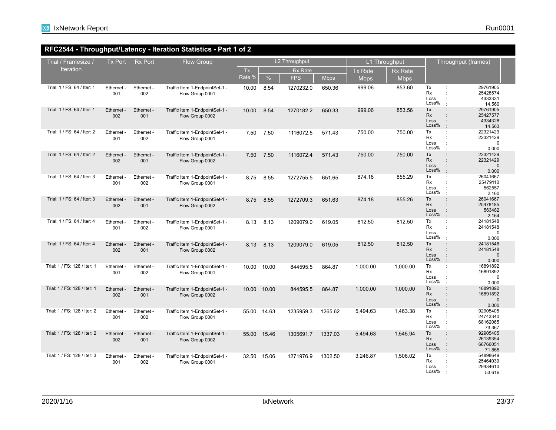## **RFC2544 - Throughput/Latency - Iteration Statistics - Part 1 of 2**

| Trial / Framesize /          | <b>Tx Port</b>    | <b>Rx Port</b>    | <b>Flow Group</b>                                 |             |       | L2 Throughput  |             |                | L1 Throughput  |                                                                                      | Throughput (frames)                           |
|------------------------------|-------------------|-------------------|---------------------------------------------------|-------------|-------|----------------|-------------|----------------|----------------|--------------------------------------------------------------------------------------|-----------------------------------------------|
| <b>Iteration</b>             |                   |                   |                                                   | <b>Tx</b>   |       | <b>Rx Rate</b> |             | <b>Tx Rate</b> | <b>Rx Rate</b> |                                                                                      |                                               |
|                              |                   |                   |                                                   | Rate %      | $\%$  | <b>FPS</b>     | <b>Mbps</b> | <b>Mbps</b>    | <b>Mbps</b>    |                                                                                      |                                               |
| Trial: 1 / FS: 64 / Iter: 1  | Ethernet -<br>001 | Ethernet -<br>002 | Traffic Item 1-EndpointSet-1 -<br>Flow Group 0001 | 10.00       | 8.54  | 1270232.0      | 650.36      | 999.06         | 853.60         | Tx<br>÷<br><b>Rx</b><br>Loss<br>Loss%                                                | 29761905<br>25428574<br>4333331<br>14.560     |
| Trial: 1 / FS: 64 / Iter: 1  | Ethernet -<br>002 | Ethernet -<br>001 | Traffic Item 1-EndpointSet-1 -<br>Flow Group 0002 | 10.00       | 8.54  | 1270182.2      | 650.33      | 999.06         | 853.56         | Tx<br>$\ddot{\phantom{a}}$<br>Rx<br>$\cdot$<br>Loss<br>Loss%<br>$\pm$                | 29761905<br>25427577<br>4334328<br>14.563     |
| Trial: 1 / FS: 64 / Iter: 2  | Ethernet -<br>001 | Ethernet -<br>002 | Traffic Item 1-EndpointSet-1 -<br>Flow Group 0001 | 7.50        | 7.50  | 1116072.5      | 571.43      | 750.00         | 750.00         | Tx<br>$\ddot{\phantom{a}}$<br>Rx<br>Loss<br>Loss%<br>$\ddot{\phantom{a}}$            | 22321429<br>22321429<br>$\mathbf 0$<br>0.000  |
| Trial: 1 / FS: 64 / Iter: 2  | Ethernet -<br>002 | Ethernet -<br>001 | Traffic Item 1-EndpointSet-1 -<br>Flow Group 0002 | 7.50        | 7.50  | 1116072.4      | 571.43      | 750.00         | 750.00         | Tx<br>$\ddot{\phantom{a}}$<br>Rx<br>Loss<br>Loss%<br>$\cdot$                         | 22321429<br>22321429<br>$\mathbf 0$<br>0.000  |
| Trial: 1 / FS: 64 / Iter: 3  | Ethernet<br>001   | Ethernet -<br>002 | Traffic Item 1-EndpointSet-1 -<br>Flow Group 0001 | 8.75        | 8.55  | 1272755.5      | 651.65      | 874.18         | 855.29         | Tx<br>Rx<br>Loss<br>Loss%                                                            | 26041667<br>25479110<br>562557<br>2.160       |
| Trial: 1 / FS: 64 / Iter: 3  | Ethernet -<br>002 | Ethernet -<br>001 | Traffic Item 1-EndpointSet-1 -<br>Flow Group 0002 | 8.75        | 8.55  | 1272709.3      | 651.63      | 874.18         | 855.26         | Tx<br>$\ddot{\phantom{a}}$<br>Rx<br>$\ddot{\phantom{a}}$<br>Loss<br>Loss%<br>$\cdot$ | 26041667<br>25478185<br>563482<br>2.164       |
| Trial: 1 / FS: 64 / Iter: 4  | Ethernet -<br>001 | Ethernet -<br>002 | Traffic Item 1-EndpointSet-1 -<br>Flow Group 0001 | 8.13        | 8.13  | 1209079.0      | 619.05      | 812.50         | 812.50         | Tx<br>$\ddot{\phantom{a}}$<br>Rx<br>Loss<br>÷<br>Loss%<br>÷                          | 24181548<br>24181548<br>0<br>0.000            |
| Trial: 1 / FS: 64 / Iter: 4  | Ethernet -<br>002 | Ethernet -<br>001 | Traffic Item 1-EndpointSet-1 -<br>Flow Group 0002 | 8.13        | 8.13  | 1209079.0      | 619.05      | 812.50         | 812.50         | Tx<br>$\ddot{\phantom{a}}$<br>Rx<br>Loss<br>$\ddot{\phantom{a}}$<br>Loss%<br>$\cdot$ | 24181548<br>24181548<br>$\mathbf 0$<br>0.000  |
| Trial: 1 / FS: 128 / Iter: 1 | Ethernet -<br>001 | Ethernet -<br>002 | Traffic Item 1-EndpointSet-1 -<br>Flow Group 0001 | 10.00       | 10.00 | 844595.5       | 864.87      | 1,000.00       | 1,000.00       | Tx<br>Rx<br>÷<br>Loss<br>Loss%                                                       | 16891892<br>16891892<br>$\mathbf 0$<br>0.000  |
| Trial: 1 / FS: 128 / Iter: 1 | Ethernet -<br>002 | Ethernet -<br>001 | Traffic Item 1-EndpointSet-1 -<br>Flow Group 0002 | 10.00 10.00 |       | 844595.5       | 864.87      | 1,000.00       | 1,000.00       | Tx<br>$\ddot{\phantom{a}}$<br><b>Rx</b><br>$\mathbf{r}$<br>Loss<br>Loss%<br>$\pm$    | 16891892<br>16891892<br>$\mathbf{0}$<br>0.000 |
| Trial: 1 / FS: 128 / Iter: 2 | Ethernet -<br>001 | Ethernet -<br>002 | Traffic Item 1-EndpointSet-1 -<br>Flow Group 0001 | 55.00 14.63 |       | 1235959.3      | 1265.62     | 5,494.63       | 1,463.38       | Tx<br>$\ddot{\phantom{a}}$<br>Rx<br>÷<br>Loss<br>$\ddot{\cdot}$<br>Loss%             | 92905405<br>24743340<br>68162065<br>73.367    |
| Trial: 1 / FS: 128 / Iter: 2 | Ethernet -<br>002 | Ethernet -<br>001 | Traffic Item 1-EndpointSet-1 -<br>Flow Group 0002 | 55.00 15.46 |       | 1305691.7      | 1337.03     | 5,494.63       | 1,545.94       | Tx<br>$\ddot{\phantom{a}}$<br>Rx<br>Loss<br>$\ddot{\phantom{a}}$<br>Loss%<br>$\cdot$ | 92905405<br>26139354<br>66766051<br>71.865    |
| Trial: 1 / FS: 128 / Iter: 3 | Ethernet -<br>001 | Ethernet -<br>002 | Traffic Item 1-EndpointSet-1 -<br>Flow Group 0001 | 32.50       | 15.06 | 1271976.9      | 1302.50     | 3,246.87       | 1,506.02       | Tx<br>Rx<br>Loss<br>Loss%                                                            | 54898649<br>25464039<br>29434610<br>53.616    |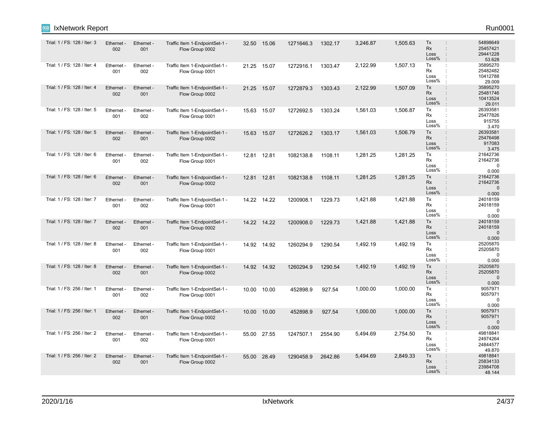| Trial: 1 / FS: 128 / Iter: 3 | Ethernet -<br>002      | Ethernet -<br>001 | Traffic Item 1-EndpointSet-1 -<br>Flow Group 0002 |       | 32.50 15.06 | 1271646.3 | 1302.17 | 3,246.87 | 1,505.63 | Tx<br><b>Rx</b><br>Loss<br>Loss% | 54898649<br>$\ddot{\phantom{a}}$<br>25457421<br>÷<br>29441228<br>$\cdot$<br>53.628 |
|------------------------------|------------------------|-------------------|---------------------------------------------------|-------|-------------|-----------|---------|----------|----------|----------------------------------|------------------------------------------------------------------------------------|
| Trial: 1 / FS: 128 / Iter: 4 | Ethernet -<br>001      | Ethernet -<br>002 | Traffic Item 1-EndpointSet-1 -<br>Flow Group 0001 |       | 21.25 15.07 | 1272916.1 | 1303.47 | 2,122.99 | 1,507.13 | Tx<br><b>Rx</b><br>Loss<br>Loss% | 35895270<br>25482482<br>÷<br>10412788<br>29.009                                    |
| Trial: 1 / FS: 128 / Iter: 4 | Ethernet -<br>002      | Ethernet -<br>001 | Traffic Item 1-EndpointSet-1 -<br>Flow Group 0002 |       | 21.25 15.07 | 1272879.3 | 1303.43 | 2,122.99 | 1,507.09 | Tx<br><b>Rx</b><br>Loss<br>Loss% | 35895270<br>25481746<br>10413524<br>29.011                                         |
| Trial: 1 / FS: 128 / Iter: 5 | Ethernet -<br>001      | Ethernet -<br>002 | Traffic Item 1-EndpointSet-1 -<br>Flow Group 0001 |       | 15.63 15.07 | 1272692.5 | 1303.24 | 1,561.03 | 1,506.87 | Tx<br><b>Rx</b><br>Loss<br>Loss% | 26393581<br>÷<br>25477826<br>$\ddot{\phantom{a}}$<br>915755<br>3.470               |
| Trial: 1 / FS: 128 / Iter: 5 | <b>Ethernet</b><br>002 | Ethernet -<br>001 | Traffic Item 1-EndpointSet-1 -<br>Flow Group 0002 |       | 15.63 15.07 | 1272626.2 | 1303.17 | 1,561.03 | 1,506.79 | Tx<br>Rx<br>Loss<br>Loss%        | 26393581<br>÷<br>25476498<br>917083<br>3.475                                       |
| Trial: 1 / FS: 128 / Iter: 6 | Ethernet -<br>001      | Ethernet -<br>002 | Traffic Item 1-EndpointSet-1 -<br>Flow Group 0001 |       | 12.81 12.81 | 1082138.8 | 1108.11 | 1,281.25 | 1,281.25 | Tx<br>Rx<br>Loss<br>Loss%        | 21642736<br>$\ddot{\phantom{a}}$<br>21642736<br>$\mathbf 0$<br>0.000               |
| Trial: 1 / FS: 128 / Iter: 6 | Ethernet -<br>002      | Ethernet -<br>001 | Traffic Item 1-EndpointSet-1 -<br>Flow Group 0002 |       | 12.81 12.81 | 1082138.8 | 1108.11 | 1,281.25 | 1,281.25 | Tx<br><b>Rx</b><br>Loss<br>Loss% | 21642736<br>$\ddot{\phantom{a}}$<br>21642736<br>$\mathbf{0}$<br>0.000<br>$\cdot$   |
| Trial: 1 / FS: 128 / Iter: 7 | Ethernet -<br>001      | Ethernet -<br>002 | Traffic Item 1-EndpointSet-1 -<br>Flow Group 0001 |       | 14.22 14.22 | 1200908.1 | 1229.73 | 1,421.88 | 1,421.88 | Tx<br><b>Rx</b><br>Loss<br>Loss% | 24018159<br>÷<br>24018159<br>$\mathbf 0$<br>0.000                                  |
| Trial: 1 / FS: 128 / Iter: 7 | Ethernet -<br>002      | Ethernet -<br>001 | Traffic Item 1-EndpointSet-1 -<br>Flow Group 0002 |       | 14.22 14.22 | 1200908.0 | 1229.73 | 1,421.88 | 1,421.88 | Tx<br><b>Rx</b><br>Loss<br>Loss% | 24018159<br>$\ddot{\phantom{a}}$<br>24018159<br>$\mathbf 0$<br>0.000<br>$\cdot$    |
| Trial: 1 / FS: 128 / Iter: 8 | Ethernet -<br>001      | Ethernet -<br>002 | Traffic Item 1-EndpointSet-1 -<br>Flow Group 0001 |       | 14.92 14.92 | 1260294.9 | 1290.54 | 1,492.19 | 1,492.19 | Tx<br><b>Rx</b><br>Loss<br>Loss% | 25205870<br>÷<br>25205870<br>0<br>0.000                                            |
| Trial: 1 / FS: 128 / Iter: 8 | Ethernet -<br>002      | Ethernet -<br>001 | Traffic Item 1-EndpointSet-1 -<br>Flow Group 0002 | 14.92 | 14.92       | 1260294.9 | 1290.54 | 1,492.19 | 1,492.19 | Tx<br><b>Rx</b><br>Loss<br>Loss% | 25205870<br>÷<br>25205870<br>÷<br>$\Omega$<br>÷<br>0.000                           |
| Trial: 1 / FS: 256 / Iter: 1 | Ethernet<br>001        | Ethernet -<br>002 | Traffic Item 1-EndpointSet-1 -<br>Flow Group 0001 |       | 10.00 10.00 | 452898.9  | 927.54  | 1,000.00 | 1,000.00 | Tx<br>Rx<br>Loss<br>Loss%        | 9057971<br>÷<br>9057971<br>$\ddot{\phantom{a}}$<br>$\Omega$<br>0.000               |
| Trial: 1 / FS: 256 / Iter: 1 | <b>Ethernet</b><br>002 | Ethernet -<br>001 | Traffic Item 1-EndpointSet-1 -<br>Flow Group 0002 | 10.00 | 10.00       | 452898.9  | 927.54  | 1,000.00 | 1,000.00 | Tx<br>Rx<br>Loss<br>Loss%        | 9057971<br>÷<br>9057971<br>$\Omega$<br>÷<br>$\cdot$<br>0.000                       |
| Trial: 1 / FS: 256 / Iter: 2 | Ethernet -<br>001      | Ethernet -<br>002 | Traffic Item 1-EndpointSet-1 -<br>Flow Group 0001 |       | 55.00 27.55 | 1247507.1 | 2554.90 | 5,494.69 | 2,754.50 | Tx<br>Rx<br>Loss<br>Loss%        | 49818841<br>$\ddot{\phantom{a}}$<br>24974264<br>24844577<br>49.870                 |
| Trial: 1 / FS: 256 / Iter: 2 | Ethernet<br>002        | Ethernet -<br>001 | Traffic Item 1-EndpointSet-1 -<br>Flow Group 0002 |       | 55.00 28.49 | 1290458.9 | 2642.86 | 5,494.69 | 2,849.33 | Tx<br><b>Rx</b><br>Loss<br>Loss% | 49818841<br>25834133<br>23984708<br>÷<br>48.144                                    |

IxNetwork Report Run0001

ixia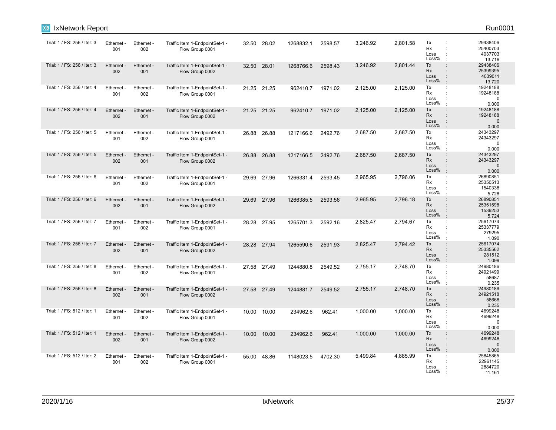| IxNetwork Report<br><b>IXIA</b> |                   |                   |                                                   |       |             |           |         |          |          |                                                                                      | Run0001                                       |
|---------------------------------|-------------------|-------------------|---------------------------------------------------|-------|-------------|-----------|---------|----------|----------|--------------------------------------------------------------------------------------|-----------------------------------------------|
| Trial: 1 / FS: 256 / Iter: 3    | Ethernet -<br>001 | Ethernet -<br>002 | Traffic Item 1-EndpointSet-1 -<br>Flow Group 0001 |       | 32.50 28.02 | 1268832.1 | 2598.57 | 3,246.92 | 2,801.58 | Tx<br><b>Rx</b><br>Loss<br>Loss%                                                     | 29438406<br>25400703<br>4037703<br>13.716     |
| Trial: 1 / FS: 256 / Iter: 3    | Ethernet -<br>002 | Ethernet -<br>001 | Traffic Item 1-EndpointSet-1 -<br>Flow Group 0002 |       | 32.50 28.01 | 1268766.6 | 2598.43 | 3,246.92 | 2,801.44 | Tx<br>÷<br>Rx<br>Loss<br>Loss%                                                       | 29438406<br>25399395<br>4039011<br>13.720     |
| Trial: 1 / FS: 256 / Iter: 4    | Ethernet -<br>001 | Ethernet -<br>002 | Traffic Item 1-EndpointSet-1 -<br>Flow Group 0001 |       | 21.25 21.25 | 962410.7  | 1971.02 | 2,125.00 | 2,125.00 | Tx<br>÷<br>Rx<br>Loss<br>Loss%                                                       | 19248188<br>19248188<br>$\mathbf 0$<br>0.000  |
| Trial: 1 / FS: 256 / Iter: 4    | Ethernet<br>002   | Ethernet -<br>001 | Traffic Item 1-EndpointSet-1 -<br>Flow Group 0002 |       | 21.25 21.25 | 962410.7  | 1971.02 | 2,125.00 | 2,125.00 | Tx<br>$\ddot{\phantom{a}}$<br>Rx<br>Loss<br>Loss%<br>$\cdot$                         | 19248188<br>19248188<br>$\mathbf 0$<br>0.000  |
| Trial: 1 / FS: 256 / Iter: 5    | Ethernet -<br>001 | Ethernet -<br>002 | Traffic Item 1-EndpointSet-1 -<br>Flow Group 0001 | 26.88 | 26.88       | 1217166.6 | 2492.76 | 2,687.50 | 2,687.50 | Tx<br>÷<br>Rx<br>Loss<br>Loss%                                                       | 24343297<br>24343297<br>$\mathbf 0$<br>0.000  |
| Trial: 1 / FS: 256 / Iter: 5    | Ethernet -<br>002 | Ethernet -<br>001 | Traffic Item 1-EndpointSet-1 -<br>Flow Group 0002 |       | 26.88 26.88 | 1217166.5 | 2492.76 | 2,687.50 | 2,687.50 | Tx<br>$\ddot{\phantom{a}}$<br><b>Rx</b><br>Loss<br>Loss%                             | 24343297<br>24343297<br>$\mathbf{0}$<br>0.000 |
| Trial: 1 / FS: 256 / Iter: 6    | Ethernet -<br>001 | Ethernet -<br>002 | Traffic Item 1-EndpointSet-1 -<br>Flow Group 0001 |       | 29.69 27.96 | 1266331.4 | 2593.45 | 2,965.95 | 2.796.06 | Tx<br>÷<br>Rx<br>Loss<br>Loss%                                                       | 26890851<br>25350513<br>1540338<br>5.728      |
| Trial: 1 / FS: 256 / Iter: 6    | Ethernet -<br>002 | Ethernet -<br>001 | Traffic Item 1-EndpointSet-1 -<br>Flow Group 0002 | 29.69 | 27.96       | 1266385.5 | 2593.56 | 2,965.95 | 2,796.18 | Tx<br>$\ddot{\phantom{a}}$<br>Rx<br>$\ddot{\phantom{a}}$<br>Loss<br>Loss%            | 26890851<br>25351598<br>1539253<br>5.724      |
| Trial: 1 / FS: 256 / Iter: 7    | Ethernet -<br>001 | Ethernet -<br>002 | Traffic Item 1-EndpointSet-1 -<br>Flow Group 0001 |       | 28.28 27.95 | 1265701.3 | 2592.16 | 2,825.47 | 2,794.67 | Tx<br>÷<br>Rx<br>Loss<br>Loss%                                                       | 25617074<br>25337779<br>279295<br>1.090       |
| Trial: 1 / FS: 256 / Iter: 7    | Ethernet -<br>002 | Ethernet -<br>001 | Traffic Item 1-EndpointSet-1 -<br>Flow Group 0002 |       | 28.28 27.94 | 1265590.6 | 2591.93 | 2,825.47 | 2,794.42 | Tx<br>$\ddot{\phantom{a}}$<br><b>Rx</b><br>Loss<br>$\ddot{\phantom{a}}$<br>Loss%     | 25617074<br>25335562<br>281512<br>1.099       |
| Trial: 1 / FS: 256 / Iter: 8    | Ethernet -<br>001 | Ethernet -<br>002 | Traffic Item 1-EndpointSet-1 -<br>Flow Group 0001 |       | 27.58 27.49 | 1244880.8 | 2549.52 | 2,755.17 | 2,748.70 | Tx<br>÷<br>Rx<br>Loss<br>Loss%                                                       | 24980186<br>24921499<br>58687<br>0.235        |
| Trial: 1 / FS: 256 / Iter: 8    | Ethernet<br>002   | Ethernet -<br>001 | Traffic Item 1-EndpointSet-1 -<br>Flow Group 0002 |       | 27.58 27.49 | 1244881.7 | 2549.52 | 2,755.17 | 2,748.70 | Tx<br>$\ddot{\phantom{a}}$<br>Rx<br>Loss<br>$\ddot{\phantom{a}}$<br>Loss%<br>$\cdot$ | 24980186<br>24921518<br>58668<br>0.235        |
| Trial: 1 / FS: 512 / Iter: 1    | Ethernet -<br>001 | Ethernet -<br>002 | Traffic Item 1-EndpointSet-1 -<br>Flow Group 0001 | 10.00 | 10.00       | 234962.6  | 962.41  | 1,000.00 | 1,000.00 | Tx<br>÷<br>Rx<br>Loss<br>Loss%                                                       | 4699248<br>4699248<br>0<br>0.000              |
| Trial: 1 / FS: 512 / Iter: 1    | Ethernet -<br>002 | Ethernet -<br>001 | Traffic Item 1-EndpointSet-1 -<br>Flow Group 0002 | 10.00 | 10.00       | 234962.6  | 962.41  | 1,000.00 | 1,000.00 | Tx<br>$\ddot{\phantom{a}}$<br>Rx<br>Loss<br>Loss%                                    | 4699248<br>4699248<br>$\mathbf{0}$<br>0.000   |
| Trial: 1 / FS: 512 / Iter: 2    | Ethernet -<br>001 | Ethernet -<br>002 | Traffic Item 1-EndpointSet-1 -<br>Flow Group 0001 | 55.00 | 48.86       | 1148023.5 | 4702.30 | 5,499.84 | 4,885.99 | Tx<br>Rx<br>Loss<br>Loss%                                                            | 25845865<br>22961145<br>2884720<br>11.161     |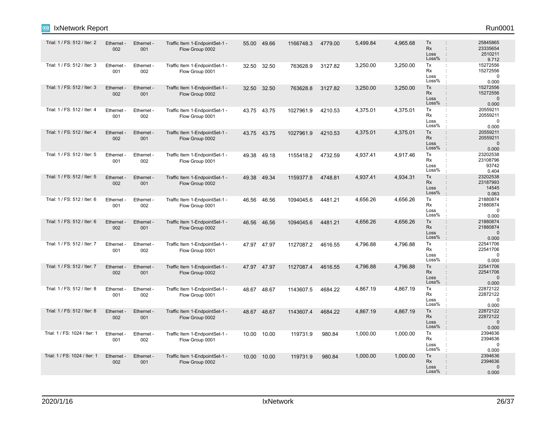0 0.000<br>2394636

0.000 0 2394636

Loss% Loss

Loss% Loss Rx Tx

: :

:<br>:<br>:<br>:

| Trial: 1 / FS: 512 / Iter: 2  | Ethernet -<br>002 | Ethernet -<br>001 | Traffic Item 1-EndpointSet-1 -<br>Flow Group 0002 | 55.00 | 49.66       | 1166748.3 | 4779.00 | 5,499.84 | 4,965.68 | Tx<br><b>Rx</b><br>Loss<br>Loss% | 25845865<br>23335654<br>2510211<br>9.712      |
|-------------------------------|-------------------|-------------------|---------------------------------------------------|-------|-------------|-----------|---------|----------|----------|----------------------------------|-----------------------------------------------|
| Trial: 1 / FS: 512 / Iter: 3  | Ethernet -<br>001 | Ethernet -<br>002 | Traffic Item 1-EndpointSet-1 -<br>Flow Group 0001 |       | 32.50 32.50 | 763628.9  | 3127.82 | 3,250.00 | 3,250.00 | Tx<br><b>Rx</b><br>Loss<br>Loss% | 15272556<br>15272556<br>0<br>0.000            |
| Trial: 1 / FS: 512 / Iter: 3  | Ethernet -<br>002 | Ethernet -<br>001 | Traffic Item 1-EndpointSet-1 -<br>Flow Group 0002 |       | 32.50 32.50 | 763628.8  | 3127.82 | 3,250.00 | 3,250.00 | Тx<br><b>Rx</b><br>Loss<br>Loss% | 15272556<br>15272556<br>$\Omega$<br>0.000     |
| Trial: 1 / FS: 512 / Iter: 4  | Ethernet -<br>001 | Ethernet -<br>002 | Traffic Item 1-EndpointSet-1 -<br>Flow Group 0001 |       | 43.75 43.75 | 1027961.9 | 4210.53 | 4,375.01 | 4,375.01 | Тx<br>Rx<br>Loss<br>Loss%        | 20559211<br>20559211<br>$\Omega$<br>0.000     |
| Trial: 1 / FS: 512 / Iter: 4  | Ethernet -<br>002 | Ethernet -<br>001 | Traffic Item 1-EndpointSet-1 -<br>Flow Group 0002 |       | 43.75 43.75 | 1027961.9 | 4210.53 | 4,375.01 | 4,375.01 | Tx<br><b>Rx</b><br>Loss<br>Loss% | 20559211<br>20559211<br>$\Omega$<br>0.000     |
| Trial: 1 / FS: 512 / Iter: 5  | Ethernet -<br>001 | Ethernet -<br>002 | Traffic Item 1-EndpointSet-1 -<br>Flow Group 0001 | 49.38 | 49.18       | 1155418.2 | 4732.59 | 4,937.41 | 4,917.46 | Tx<br>÷<br>Rx<br>Loss<br>Loss%   | 23202538<br>23108796<br>93742<br>0.404        |
| Trial: 1 / FS: 512 / Iter: 5  | Ethernet<br>002   | Ethernet -<br>001 | Traffic Item 1-EndpointSet-1 -<br>Flow Group 0002 | 49.38 | 49.34       | 1159377.8 | 4748.81 | 4,937.41 | 4,934.31 | Tx<br><b>Rx</b><br>Loss<br>Loss% | 23202538<br>23187993<br>14545<br>0.063        |
| Trial: 1 / FS: 512 / Iter: 6  | Ethernet -<br>001 | Ethernet -<br>002 | Traffic Item 1-EndpointSet-1 -<br>Flow Group 0001 | 46.56 | 46.56       | 1094045.6 | 4481.21 | 4,656.26 | 4,656.26 | Тx<br><b>Rx</b><br>Loss<br>Loss% | 21880874<br>21880874<br>$\mathbf 0$<br>0.000  |
| Trial: 1 / FS: 512 / Iter: 6  | Ethernet -<br>002 | Ethernet -<br>001 | Traffic Item 1-EndpointSet-1 -<br>Flow Group 0002 | 46.56 | 46.56       | 1094045.6 | 4481.21 | 4,656.26 | 4,656.26 | Tx<br><b>Rx</b><br>Loss<br>Loss% | 21880874<br>21880874<br>$\Omega$<br>0.000     |
| Trial: 1 / FS: 512 / Iter: 7  | Ethernet -<br>001 | Ethernet -<br>002 | Traffic Item 1-EndpointSet-1 -<br>Flow Group 0001 |       | 47.97 47.97 | 1127087.2 | 4616.55 | 4,796.88 | 4,796.88 | Тx<br><b>Rx</b><br>Loss<br>Loss% | 22541706<br>22541706<br>$\Omega$<br>0.000     |
| Trial: 1 / FS: 512 / Iter: 7  | Ethernet -<br>002 | Ethernet -<br>001 | Traffic Item 1-EndpointSet-1 -<br>Flow Group 0002 |       | 47.97 47.97 | 1127087.4 | 4616.55 | 4,796.88 | 4,796.88 | Tx<br><b>Rx</b><br>Loss<br>Loss% | 22541706<br>22541706<br>$\Omega$<br>0.000     |
| Trial: 1 / FS: 512 / Iter: 8  | Ethernet -<br>001 | Ethernet -<br>002 | Traffic Item 1-EndpointSet-1 -<br>Flow Group 0001 | 48.67 | 48.67       | 1143607.5 | 4684.22 | 4,867.19 | 4,867.19 | Тx<br>Rx<br>Loss<br>Loss%        | 22872122<br>22872122<br>$\Omega$<br>0.000     |
| Trial: 1 / FS: 512 / Iter: 8  | Ethernet -<br>002 | Ethernet -<br>001 | Traffic Item 1-EndpointSet-1 -<br>Flow Group 0002 |       | 48.67 48.67 | 1143607.4 | 4684.22 | 4,867.19 | 4,867.19 | Tx<br><b>Rx</b><br>Loss<br>Loss% | 22872122<br>22872122<br>$\mathbf{0}$<br>0.000 |
| Trial: 1 / FS: 1024 / Iter: 1 | Ethernet -<br>001 | Ethernet -<br>002 | Traffic Item 1-EndpointSet-1 -<br>Flow Group 0001 | 10.00 | 10.00       | 119731.9  | 980.84  | 1,000.00 | 1,000.00 | Tx<br>Rx                         | 2394636<br>2394636                            |

ixia

Trial: 1 / FS: 1024 / Iter: 1

Ethernet - 002

Ethernet - 001

Traffic Item 1-EndpointSet-1 - Flow Group 0002

10.00 10.00 119731.9 980.84 1,000.00 1,000.00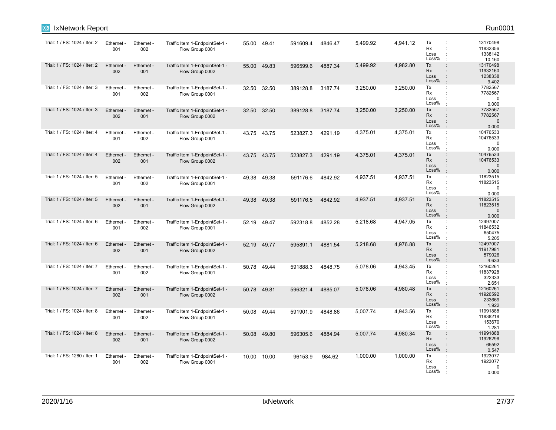| IxNetwork Report<br>Ixia      |                   |                   |                                                   |       |             |          |         |          |          |                                                                                                                           | Run0001                                       |
|-------------------------------|-------------------|-------------------|---------------------------------------------------|-------|-------------|----------|---------|----------|----------|---------------------------------------------------------------------------------------------------------------------------|-----------------------------------------------|
| Trial: 1 / FS: 1024 / Iter: 2 | Ethernet -<br>001 | Ethernet -<br>002 | Traffic Item 1-EndpointSet-1 -<br>Flow Group 0001 |       | 55.00 49.41 | 591609.4 | 4846.47 | 5,499.92 | 4,941.12 | Tx<br>÷<br><b>Rx</b><br>÷<br>Loss<br>Loss%                                                                                | 13170498<br>11832356<br>1338142<br>10.160     |
| Trial: 1 / FS: 1024 / Iter: 2 | Ethernet -<br>002 | Ethernet -<br>001 | Traffic Item 1-EndpointSet-1 -<br>Flow Group 0002 | 55.00 | 49.83       | 596599.6 | 4887.34 | 5,499.92 | 4,982.80 | Tx<br>$\ddot{\phantom{a}}$<br><b>Rx</b><br>÷<br>Loss<br>$\ddot{\phantom{a}}$<br>Loss%                                     | 13170498<br>11932160<br>1238338<br>9.402      |
| Trial: 1 / FS: 1024 / Iter: 3 | Ethernet -<br>001 | Ethernet -<br>002 | Traffic Item 1-EndpointSet-1 -<br>Flow Group 0001 | 32.50 | 32.50       | 389128.8 | 3187.74 | 3,250.00 | 3,250.00 | Tx<br>÷<br>Rx<br>÷<br>Loss<br>Loss%                                                                                       | 7782567<br>7782567<br>0<br>0.000              |
| Trial: 1 / FS: 1024 / Iter: 3 | Ethernet -<br>002 | Ethernet -<br>001 | Traffic Item 1-EndpointSet-1 -<br>Flow Group 0002 | 32.50 | 32.50       | 389128.8 | 3187.74 | 3,250.00 | 3,250.00 | Tx<br>$\ddot{\phantom{a}}$<br><b>Rx</b><br>÷<br>Loss<br>$\ddot{\phantom{a}}$<br>Loss%<br>÷                                | 7782567<br>7782567<br>$\mathbf 0$<br>0.000    |
| Trial: 1 / FS: 1024 / Iter: 4 | Ethernet -<br>001 | Ethernet -<br>002 | Traffic Item 1-EndpointSet-1 -<br>Flow Group 0001 |       | 43.75 43.75 | 523827.3 | 4291.19 | 4,375.01 | 4,375.01 | Tx<br>÷<br>Rx<br>÷<br>Loss<br>÷<br>Loss%                                                                                  | 10476533<br>10476533<br>$\mathbf 0$<br>0.000  |
| Trial: 1 / FS: 1024 / Iter: 4 | Ethernet -<br>002 | Ethernet -<br>001 | Traffic Item 1-EndpointSet-1 -<br>Flow Group 0002 |       | 43.75 43.75 | 523827.3 | 4291.19 | 4,375.01 | 4,375.01 | Tx<br>$\ddot{\phantom{a}}$<br>Rx<br>÷<br>Loss<br>$\ddot{\phantom{a}}$<br>Loss%<br>$\ddot{\phantom{a}}$                    | 10476533<br>10476533<br>$\mathbf 0$<br>0.000  |
| Trial: 1 / FS: 1024 / Iter: 5 | Ethernet -<br>001 | Ethernet -<br>002 | Traffic Item 1-EndpointSet-1 -<br>Flow Group 0001 | 49.38 | 49.38       | 591176.6 | 4842.92 | 4,937.51 | 4,937.51 | Tx<br>$\ddot{\phantom{a}}$<br>Rx<br>÷<br>Loss<br>Loss%                                                                    | 11823515<br>11823515<br>$\mathbf 0$<br>0.000  |
| Trial: 1 / FS: 1024 / Iter: 5 | Ethernet -<br>002 | Ethernet -<br>001 | Traffic Item 1-EndpointSet-1 -<br>Flow Group 0002 | 49.38 | 49.38       | 591176.5 | 4842.92 | 4,937.51 | 4,937.51 | Tx<br>$\ddot{\phantom{a}}$<br>Rx<br>÷<br>Loss<br>$\ddot{\phantom{a}}$<br>Loss%<br>$\cdot$                                 | 11823515<br>11823515<br>$\mathbf{0}$<br>0.000 |
| Trial: 1 / FS: 1024 / Iter: 6 | Ethernet -<br>001 | Ethernet -<br>002 | Traffic Item 1-EndpointSet-1 -<br>Flow Group 0001 | 52.19 | 49.47       | 592318.8 | 4852.28 | 5,218.68 | 4,947.05 | Tx<br>$\ddot{\phantom{a}}$<br>Rx<br>÷<br>Loss<br>÷<br>Loss%<br>÷                                                          | 12497007<br>11846532<br>650475<br>5.205       |
| Trial: 1 / FS: 1024 / Iter: 6 | Ethernet -<br>002 | Ethernet -<br>001 | Traffic Item 1-EndpointSet-1 -<br>Flow Group 0002 |       | 52.19 49.77 | 595891.1 | 4881.54 | 5,218.68 | 4,976.88 | Tx<br>$\ddot{\phantom{a}}$<br>Rx<br>÷<br>Loss<br>$\ddot{\phantom{a}}$<br>Loss%<br>÷                                       | 12497007<br>11917981<br>579026<br>4.633       |
| Trial: 1 / FS: 1024 / Iter: 7 | Ethernet -<br>001 | Ethernet -<br>002 | Traffic Item 1-EndpointSet-1 -<br>Flow Group 0001 | 50.78 | 49.44       | 591888.3 | 4848.75 | 5,078.06 | 4,943.45 | Tx<br>÷<br>Rx<br>$\ddot{\phantom{a}}$<br>Loss<br>Loss%                                                                    | 12160261<br>11837928<br>322333<br>2.651       |
| Trial: 1 / FS: 1024 / Iter: 7 | Ethernet -<br>002 | Ethernet -<br>001 | Traffic Item 1-EndpointSet-1 -<br>Flow Group 0002 | 50.78 | 49.81       | 596321.4 | 4885.07 | 5,078.06 | 4,980.48 | Tx<br>÷<br><b>Rx</b><br>÷<br>Loss<br>÷<br>Loss%<br>$\ddot{\phantom{a}}$                                                   | 12160261<br>11926592<br>233669<br>1.922       |
| Trial: 1 / FS: 1024 / Iter: 8 | Ethernet -<br>001 | Ethernet -<br>002 | Traffic Item 1-EndpointSet-1 -<br>Flow Group 0001 | 50.08 | 49.44       | 591901.9 | 4848.86 | 5,007.74 | 4,943.56 | Tx<br>÷<br>Rx<br>÷<br>Loss<br>÷<br>Loss%<br>÷                                                                             | 11991888<br>11838218<br>153670<br>1.281       |
| Trial: 1 / FS: 1024 / Iter: 8 | Ethernet -<br>002 | Ethernet -<br>001 | Traffic Item 1-EndpointSet-1 -<br>Flow Group 0002 | 50.08 | 49.80       | 596305.6 | 4884.94 | 5,007.74 | 4,980.34 | Tx<br>$\ddot{\phantom{a}}$<br>Rx<br>$\ddot{\phantom{a}}$<br>Loss<br>$\ddot{\phantom{a}}$<br>Loss%<br>$\ddot{\phantom{a}}$ | 11991888<br>11926296<br>65592<br>0.547        |
| Trial: 1 / FS: 1280 / Iter: 1 | Ethernet -<br>001 | Ethernet -<br>002 | Traffic Item 1-EndpointSet-1 -<br>Flow Group 0001 | 10.00 | 10.00       | 96153.9  | 984.62  | 1,000.00 | 1,000.00 | Tx<br>$\ddot{\phantom{a}}$<br>Rx<br>Loss<br>Loss%                                                                         | 1923077<br>1923077<br>0<br>0.000              |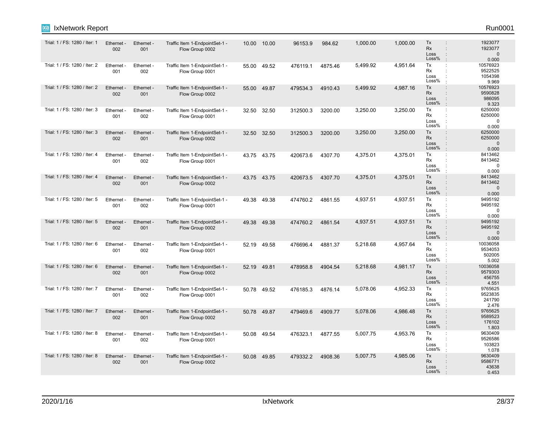| Trial: 1 / FS: 1280 / Iter: 1 | Ethernet -<br>002 | Ethernet -<br>001 | Traffic Item 1-EndpointSet-1 -<br>Flow Group 0002 | 10.00 | 10.00       | 96153.9  | 984.62  | 1,000.00 | 1,000.00 | Tx<br><b>Rx</b><br>Loss<br>Loss%                         | 1923077<br>1923077<br>$\Omega$<br>0.000     |
|-------------------------------|-------------------|-------------------|---------------------------------------------------|-------|-------------|----------|---------|----------|----------|----------------------------------------------------------|---------------------------------------------|
| Trial: 1 / FS: 1280 / Iter: 2 | Ethernet -<br>001 | Ethernet -<br>002 | Traffic Item 1-EndpointSet-1 -<br>Flow Group 0001 |       | 55.00 49.52 | 476119.1 | 4875.46 | 5,499.92 | 4.951.64 | Tx<br>$\ddot{\phantom{a}}$<br>Rx<br>Loss<br>Loss%        | 10576923<br>9522525<br>1054398<br>9.969     |
| Trial: 1 / FS: 1280 / Iter: 2 | Ethernet<br>002   | Ethernet -<br>001 | Traffic Item 1-EndpointSet-1 -<br>Flow Group 0002 | 55.00 | 49.87       | 479534.3 | 4910.43 | 5,499.92 | 4,987.16 | Tx<br>$\mathbf{r}$<br>Rx<br>Loss<br>Loss%                | 10576923<br>9590828<br>986095<br>9.323      |
| Trial: 1 / FS: 1280 / Iter: 3 | Ethernet -<br>001 | Ethernet -<br>002 | Traffic Item 1-EndpointSet-1 -<br>Flow Group 0001 | 32.50 | 32.50       | 312500.3 | 3200.00 | 3,250.00 | 3,250.00 | Tx<br>$\ddot{\phantom{a}}$<br>Rx<br>Loss<br>Loss%        | 6250000<br>6250000<br>$\Omega$<br>0.000     |
| Trial: 1 / FS: 1280 / Iter: 3 | Ethernet<br>002   | Ethernet -<br>001 | Traffic Item 1-EndpointSet-1 -<br>Flow Group 0002 | 32.50 | 32.50       | 312500.3 | 3200.00 | 3,250.00 | 3,250.00 | Tx<br><b>Rx</b><br>Loss<br>Loss%                         | 6250000<br>6250000<br>$\mathbf 0$<br>0.000  |
| Trial: 1 / FS: 1280 / Iter: 4 | Ethernet -<br>001 | Ethernet -<br>002 | Traffic Item 1-EndpointSet-1 -<br>Flow Group 0001 |       | 43.75 43.75 | 420673.6 | 4307.70 | 4,375.01 | 4,375.01 | Tx<br>÷<br>Rx<br>÷<br>Loss<br>Loss%                      | 8413462<br>8413462<br>$\mathbf 0$<br>0.000  |
| Trial: 1 / FS: 1280 / Iter: 4 | Ethernet<br>002   | Ethernet -<br>001 | Traffic Item 1-EndpointSet-1 -<br>Flow Group 0002 |       | 43.75 43.75 | 420673.5 | 4307.70 | 4,375.01 | 4,375.01 | Tx<br><b>Rx</b><br>Loss<br>Loss%                         | 8413462<br>8413462<br>$\mathbf{0}$<br>0.000 |
| Trial: 1 / FS: 1280 / Iter: 5 | Ethernet<br>001   | Ethernet -<br>002 | Traffic Item 1-EndpointSet-1 -<br>Flow Group 0001 | 49.38 | 49.38       | 474760.2 | 4861.55 | 4,937.51 | 4,937.51 | Tx<br>$\ddot{\phantom{a}}$<br><b>Rx</b><br>Loss<br>Loss% | 9495192<br>9495192<br>$\mathbf 0$<br>0.000  |
| Trial: 1 / FS: 1280 / Iter: 5 | Ethernet<br>002   | Ethernet -<br>001 | Traffic Item 1-EndpointSet-1 -<br>Flow Group 0002 | 49.38 | 49.38       | 474760.2 | 4861.54 | 4,937.51 | 4.937.51 | Tx<br>Rx<br>Loss<br>Loss%                                | 9495192<br>9495192<br>$\mathbf{0}$<br>0.000 |
| Trial: 1 / FS: 1280 / Iter: 6 | Ethernet<br>001   | Ethernet -<br>002 | Traffic Item 1-EndpointSet-1 -<br>Flow Group 0001 | 52.19 | 49.58       | 476696.4 | 4881.37 | 5,218.68 | 4,957.64 | Тx<br>Rx<br>Loss<br>Loss%                                | 10036058<br>9534053<br>502005<br>5.002      |
| Trial: 1 / FS: 1280 / Iter: 6 | Ethernet<br>002   | Ethernet -<br>001 | Traffic Item 1-EndpointSet-1 -<br>Flow Group 0002 | 52.19 | 49.81       | 478958.8 | 4904.54 | 5,218.68 | 4,981.17 | Tx<br><b>Rx</b><br>Loss<br>Loss%                         | 10036058<br>9579303<br>456755<br>4.551      |
| Trial: 1 / FS: 1280 / Iter: 7 | Ethernet<br>001   | Ethernet -<br>002 | Traffic Item 1-EndpointSet-1 -<br>Flow Group 0001 | 50.78 | 49.52       | 476185.3 | 4876.14 | 5,078.06 | 4,952.33 | Tx<br>Rx<br>Loss<br>Loss%                                | 9765625<br>9523835<br>241790<br>2.476       |
| Trial: 1 / FS: 1280 / Iter: 7 | Ethernet<br>002   | Ethernet -<br>001 | Traffic Item 1-EndpointSet-1 -<br>Flow Group 0002 | 50.78 | 49.87       | 479469.6 | 4909.77 | 5,078.06 | 4,986.48 | Tx<br><b>Rx</b><br>Loss<br>Loss%                         | 9765625<br>9589523<br>176102<br>1.803       |
| Trial: 1 / FS: 1280 / Iter: 8 | Ethernet -<br>001 | Ethernet -<br>002 | Traffic Item 1-EndpointSet-1 -<br>Flow Group 0001 | 50.08 | 49.54       | 476323.1 | 4877.55 | 5,007.75 | 4,953.76 | Tx<br><b>Rx</b><br>Loss<br>Loss%                         | 9630409<br>9526586<br>103823<br>1.078       |
| Trial: 1 / FS: 1280 / Iter: 8 | Ethernet<br>002   | Ethernet -<br>001 | Traffic Item 1-EndpointSet-1 -<br>Flow Group 0002 | 50.08 | 49.85       | 479332.2 | 4908.36 | 5,007.75 | 4,985.06 | Tx<br><b>Rx</b><br>Loss<br>Loss%                         | 9630409<br>9586771<br>43638<br>0.453        |

ixia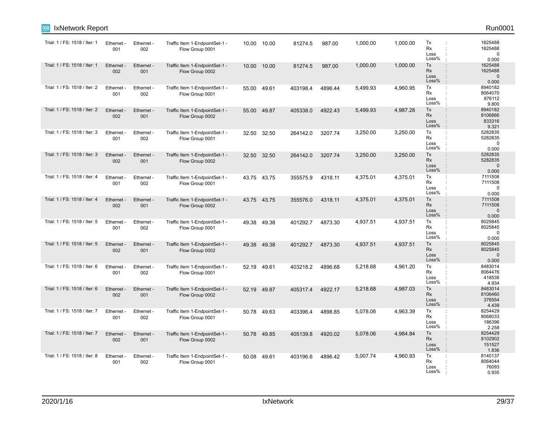| IxNetwork Report<br><b>IXIA</b> |                   |                   |                                                   |       |             |          |         |          |          |                                                  | Run0001                                                                                     |
|---------------------------------|-------------------|-------------------|---------------------------------------------------|-------|-------------|----------|---------|----------|----------|--------------------------------------------------|---------------------------------------------------------------------------------------------|
| Trial: 1 / FS: 1518 / Iter: 1   | Ethernet -<br>001 | Ethernet -<br>002 | Traffic Item 1-EndpointSet-1 -<br>Flow Group 0001 |       | 10.00 10.00 | 81274.5  | 987.00  | 1,000.00 | 1,000.00 | Tx<br>Rx<br>Loss<br>Loss%                        | 1625488<br>1625488<br>$\mathbf 0$<br>0.000                                                  |
| Trial: 1 / FS: 1518 / Iter: 1   | Ethernet -<br>002 | Ethernet -<br>001 | Traffic Item 1-EndpointSet-1 -<br>Flow Group 0002 | 10.00 | 10.00       | 81274.5  | 987.00  | 1,000.00 | 1,000.00 | Tx<br>Rx<br>Loss<br>Loss%                        | ÷<br>1625488<br>1625488<br>$\mathbf{0}$<br>0.000                                            |
| Trial: 1 / FS: 1518 / Iter: 2   | Ethernet -<br>001 | Ethernet -<br>002 | Traffic Item 1-EndpointSet-1 -<br>Flow Group 0001 |       | 55.00 49.61 | 403198.4 | 4896.44 | 5,499.93 | 4,960.95 | Tx<br>Rx<br>Loss<br>Loss%                        | 8940182<br>÷<br>8064070<br>876112<br>9.800                                                  |
| Trial: 1 / FS: 1518 / Iter: 2   | Ethernet<br>002   | Ethernet -<br>001 | Traffic Item 1-EndpointSet-1 -<br>Flow Group 0002 | 55.00 | 49.87       | 405338.0 | 4922.43 | 5,499.93 | 4,987.28 | Tx<br>Rx<br>÷<br>Loss<br>Loss%<br>$\cdot$        | $\ddot{\phantom{a}}$<br>8940182<br>8106866<br>833316<br>9.321                               |
| Trial: 1 / FS: 1518 / Iter: 3   | Ethernet -<br>001 | Ethernet -<br>002 | Traffic Item 1-EndpointSet-1 -<br>Flow Group 0001 | 32.50 | 32.50       | 264142.0 | 3207.74 | 3,250.00 | 3,250.00 | Tx<br>Rx<br>÷<br>Loss<br>Loss%                   | 5282835<br>÷<br>5282835<br>$\mathbf 0$<br>0.000                                             |
| Trial: 1 / FS: 1518 / Iter: 3   | Ethernet -<br>002 | Ethernet -<br>001 | Traffic Item 1-EndpointSet-1 -<br>Flow Group 0002 | 32.50 | 32.50       | 264142.0 | 3207.74 | 3,250.00 | 3,250.00 | Tx<br><b>Rx</b><br>Loss<br>Loss%                 | 5282835<br>$\ddot{\phantom{a}}$<br>5282835<br>$\mathbf{0}$<br>0.000                         |
| Trial: 1 / FS: 1518 / Iter: 4   | Ethernet -<br>001 | Ethernet -<br>002 | Traffic Item 1-EndpointSet-1 -<br>Flow Group 0001 |       | 43.75 43.75 | 355575.9 | 4318.11 | 4,375.01 | 4,375.01 | Tx<br>Rx<br>Loss<br>Loss%                        | 7111508<br>÷<br>7111508<br>$\Omega$<br>0.000                                                |
| Trial: 1 / FS: 1518 / Iter: 4   | Ethernet -<br>002 | Ethernet -<br>001 | Traffic Item 1-EndpointSet-1 -<br>Flow Group 0002 |       | 43.75 43.75 | 355576.0 | 4318.11 | 4,375.01 | 4,375.01 | Tx<br>Rx<br>Loss<br>Loss%                        | 7111508<br>$\ddot{\phantom{a}}$<br>$\ddot{\phantom{a}}$<br>7111508<br>$\mathbf 0$<br>0.000  |
| Trial: 1 / FS: 1518 / Iter: 5   | Ethernet -<br>001 | Ethernet -<br>002 | Traffic Item 1-EndpointSet-1 -<br>Flow Group 0001 | 49.38 | 49.38       | 401292.7 | 4873.30 | 4,937.51 | 4,937.51 | Tx<br>Rx<br>Loss<br>Loss%                        | 8025845<br>8025845<br>$\mathbf 0$<br>0.000                                                  |
| Trial: 1 / FS: 1518 / Iter: 5   | Ethernet -<br>002 | Ethernet -<br>001 | Traffic Item 1-EndpointSet-1 -<br>Flow Group 0002 | 49.38 | 49.38       | 401292.7 | 4873.30 | 4,937.51 | 4,937.51 | Tx<br>Rx<br>Loss<br>Loss%<br>$\cdot$             | 8025845<br>$\ddot{\phantom{a}}$<br>8025845<br>$\mathbf{0}$<br>$\ddot{\phantom{a}}$<br>0.000 |
| Trial: 1 / FS: 1518 / Iter: 6   | Ethernet -<br>001 | Ethernet -<br>002 | Traffic Item 1-EndpointSet-1 -<br>Flow Group 0001 | 52.19 | 49.61       | 403218.2 | 4896.68 | 5,218.68 | 4,961.20 | Tx<br>Rx<br>Loss<br>Loss%                        | 8483014<br>÷<br>8064476<br>418538<br>4.934                                                  |
| Trial: 1 / FS: 1518 / Iter: 6   | Ethernet<br>002   | Ethernet -<br>001 | Traffic Item 1-EndpointSet-1 -<br>Flow Group 0002 | 52.19 | 49.87       | 405317.4 | 4922.17 | 5,218.68 | 4,987.03 | Tx<br>Rx<br>Loss<br>$\vdots$<br>Loss%<br>$\cdot$ | $\vdots$<br>8483014<br>8106460<br>376554<br>4.439                                           |
| Trial: 1 / FS: 1518 / Iter: 7   | Ethernet -<br>001 | Ethernet -<br>002 | Traffic Item 1-EndpointSet-1 -<br>Flow Group 0001 |       | 50.78 49.63 | 403396.4 | 4898.85 | 5,078.06 | 4,963.39 | Tx<br>Rx<br>Loss<br>Loss%                        | 8254429<br>÷<br>8068033<br>186396<br>2.258                                                  |
| Trial: 1 / FS: 1518 / Iter: 7   | Ethernet -<br>002 | Ethernet -<br>001 | Traffic Item 1-EndpointSet-1 -<br>Flow Group 0002 |       | 50.78 49.85 | 405139.8 | 4920.02 | 5,078.06 | 4,984.84 | Tx<br>Rx<br>Loss<br>Loss%                        | $\ddot{\phantom{a}}$<br>8254429<br>8102902<br>151527<br>1.836                               |
| Trial: 1 / FS: 1518 / Iter: 8   | Ethernet -<br>001 | Ethernet -<br>002 | Traffic Item 1-EndpointSet-1 -<br>Flow Group 0001 |       | 50.08 49.61 | 403196.6 | 4896.42 | 5,007.74 | 4,960.93 | Tx<br>Rx<br>Loss<br>Loss%                        | 8140137<br>8064044<br>76093<br>0.935                                                        |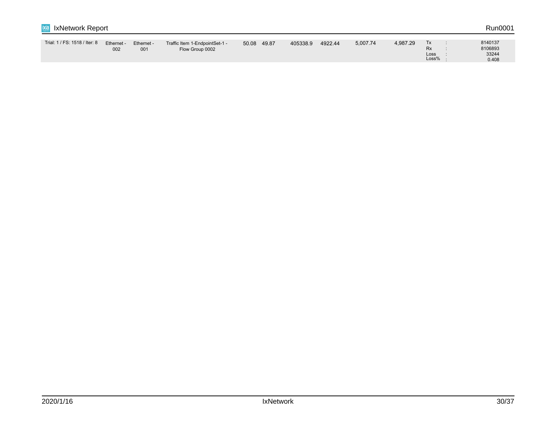| İXİa<br><b>IxNetwork Report</b> |                   |                   |                                                   |       |       |          |         |          |          |                           |  | Run0001                              |
|---------------------------------|-------------------|-------------------|---------------------------------------------------|-------|-------|----------|---------|----------|----------|---------------------------|--|--------------------------------------|
| Trial: 1 / FS: 1518 / Iter: 8   | Ethernet -<br>002 | Ethernet -<br>001 | Traffic Item 1-EndpointSet-1 -<br>Flow Group 0002 | 50.08 | 49.87 | 405338.9 | 4922.44 | 5,007.74 | 4,987.29 | Тx<br>Rx<br>Loss<br>Loss% |  | 8140137<br>8106893<br>33244<br>0.408 |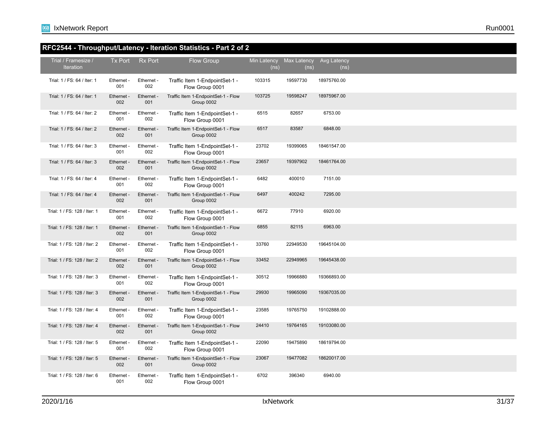## **RFC2544 - Throughput/Latency - Iteration Statistics - Part 2 of 2**

| Trial / Framesize /<br><b>Iteration</b> | <b>Tx Port</b>    | <b>Rx Port</b>    | <b>Flow Group</b>                                 | Min Latency<br>(n <sub>s</sub> ) | Max Latency<br>(ns) | Avg Latency<br>(ns) |  |
|-----------------------------------------|-------------------|-------------------|---------------------------------------------------|----------------------------------|---------------------|---------------------|--|
| Trial: 1 / FS: 64 / Iter: 1             | Ethernet -<br>001 | Ethernet -<br>002 | Traffic Item 1-EndpointSet-1 -<br>Flow Group 0001 | 103315                           | 19597730            | 18975760.00         |  |
| Trial: 1 / FS: 64 / Iter: 1             | Ethernet -<br>002 | Ethernet -<br>001 | Traffic Item 1-EndpointSet-1 - Flow<br>Group 0002 | 103725                           | 19598247            | 18975967.00         |  |
| Trial: 1 / FS: 64 / Iter: 2             | Ethernet -<br>001 | Ethernet -<br>002 | Traffic Item 1-EndpointSet-1 -<br>Flow Group 0001 | 6515                             | 82657               | 6753.00             |  |
| Trial: 1 / FS: 64 / Iter: 2             | Ethernet -<br>002 | Ethernet -<br>001 | Traffic Item 1-EndpointSet-1 - Flow<br>Group 0002 | 6517                             | 83587               | 6848.00             |  |
| Trial: 1 / FS: 64 / Iter: 3             | Ethernet -<br>001 | Ethernet -<br>002 | Traffic Item 1-EndpointSet-1 -<br>Flow Group 0001 | 23702                            | 19399065            | 18461547.00         |  |
| Trial: 1 / FS: 64 / Iter: 3             | Ethernet -<br>002 | Ethernet -<br>001 | Traffic Item 1-EndpointSet-1 - Flow<br>Group 0002 | 23657                            | 19397902            | 18461764.00         |  |
| Trial: 1 / FS: 64 / Iter: 4             | Ethernet -<br>001 | Ethernet -<br>002 | Traffic Item 1-EndpointSet-1 -<br>Flow Group 0001 | 6482                             | 400010              | 7151.00             |  |
| Trial: 1 / FS: 64 / Iter: 4             | Ethernet -<br>002 | Ethernet -<br>001 | Traffic Item 1-EndpointSet-1 - Flow<br>Group 0002 | 6497                             | 400242              | 7295.00             |  |
| Trial: 1 / FS: 128 / Iter: 1            | Ethernet -<br>001 | Ethernet -<br>002 | Traffic Item 1-EndpointSet-1 -<br>Flow Group 0001 | 6672                             | 77910               | 6920.00             |  |
| Trial: 1 / FS: 128 / Iter: 1            | Ethernet -<br>002 | Ethernet -<br>001 | Traffic Item 1-EndpointSet-1 - Flow<br>Group 0002 | 6855                             | 82115               | 6963.00             |  |
| Trial: 1 / FS: 128 / Iter: 2            | Ethernet -<br>001 | Ethernet -<br>002 | Traffic Item 1-EndpointSet-1 -<br>Flow Group 0001 | 33760                            | 22949530            | 19645104.00         |  |
| Trial: 1 / FS: 128 / Iter: 2            | Ethernet -<br>002 | Ethernet -<br>001 | Traffic Item 1-EndpointSet-1 - Flow<br>Group 0002 | 33452                            | 22949965            | 19645438.00         |  |
| Trial: 1 / FS: 128 / Iter: 3            | Ethernet -<br>001 | Ethernet -<br>002 | Traffic Item 1-EndpointSet-1 -<br>Flow Group 0001 | 30512                            | 19966880            | 19366893.00         |  |
| Trial: 1 / FS: 128 / Iter: 3            | Ethernet -<br>002 | Ethernet -<br>001 | Traffic Item 1-EndpointSet-1 - Flow<br>Group 0002 | 29930                            | 19965090            | 19367035.00         |  |
| Trial: 1 / FS: 128 / Iter: 4            | Ethernet -<br>001 | Ethernet -<br>002 | Traffic Item 1-EndpointSet-1 -<br>Flow Group 0001 | 23585                            | 19765750            | 19102888.00         |  |
| Trial: 1 / FS: 128 / Iter: 4            | Ethernet -<br>002 | Ethernet -<br>001 | Traffic Item 1-EndpointSet-1 - Flow<br>Group 0002 | 24410                            | 19764165            | 19103080.00         |  |
| Trial: 1 / FS: 128 / Iter: 5            | Ethernet -<br>001 | Ethernet -<br>002 | Traffic Item 1-EndpointSet-1 -<br>Flow Group 0001 | 22090                            | 19475890            | 18619794.00         |  |
| Trial: 1 / FS: 128 / Iter: 5            | Ethernet -<br>002 | Ethernet -<br>001 | Traffic Item 1-EndpointSet-1 - Flow<br>Group 0002 | 23067                            | 19477082            | 18620017.00         |  |
| Trial: 1 / FS: 128 / Iter: 6            | Ethernet -<br>001 | Ethernet -<br>002 | Traffic Item 1-EndpointSet-1 -<br>Flow Group 0001 | 6702                             | 396340              | 6940.00             |  |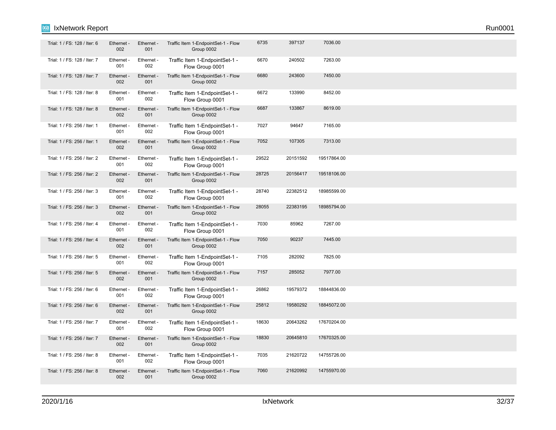| Trial: 1 / FS: 128 / Iter: 6 | Ethernet -<br>002      | Ethernet -<br>001 | Traffic Item 1-EndpointSet-1 - Flow<br>Group 0002 | 6735  | 397137   | 7036.00     |  |
|------------------------------|------------------------|-------------------|---------------------------------------------------|-------|----------|-------------|--|
| Trial: 1 / FS: 128 / Iter: 7 | Ethernet -<br>001      | Ethernet -<br>002 | Traffic Item 1-EndpointSet-1 -<br>Flow Group 0001 | 6670  | 240502   | 7263.00     |  |
| Trial: 1 / FS: 128 / Iter: 7 | Ethernet -<br>002      | Ethernet -<br>001 | Traffic Item 1-EndpointSet-1 - Flow<br>Group 0002 | 6680  | 243600   | 7450.00     |  |
| Trial: 1 / FS: 128 / Iter: 8 | Ethernet -<br>001      | Ethernet -<br>002 | Traffic Item 1-EndpointSet-1 -<br>Flow Group 0001 | 6672  | 133990   | 8452.00     |  |
| Trial: 1 / FS: 128 / Iter: 8 | Ethernet -<br>002      | Ethernet -<br>001 | Traffic Item 1-EndpointSet-1 - Flow<br>Group 0002 | 6687  | 133867   | 8619.00     |  |
| Trial: 1 / FS: 256 / Iter: 1 | Ethernet -<br>001      | Ethernet -<br>002 | Traffic Item 1-EndpointSet-1 -<br>Flow Group 0001 | 7027  | 94647    | 7165.00     |  |
| Trial: 1 / FS: 256 / Iter: 1 | <b>Ethernet</b><br>002 | Ethernet -<br>001 | Traffic Item 1-EndpointSet-1 - Flow<br>Group 0002 | 7052  | 107305   | 7313.00     |  |
| Trial: 1 / FS: 256 / Iter: 2 | Ethernet -<br>001      | Ethernet -<br>002 | Traffic Item 1-EndpointSet-1 -<br>Flow Group 0001 | 29522 | 20151592 | 19517864.00 |  |
| Trial: 1 / FS: 256 / Iter: 2 | Ethernet -<br>002      | Ethernet -<br>001 | Traffic Item 1-EndpointSet-1 - Flow<br>Group 0002 | 28725 | 20156417 | 19518106.00 |  |
| Trial: 1 / FS: 256 / Iter: 3 | Ethernet -<br>001      | Ethernet -<br>002 | Traffic Item 1-EndpointSet-1 -<br>Flow Group 0001 | 28740 | 22382512 | 18985599.00 |  |
| Trial: 1 / FS: 256 / Iter: 3 | Ethernet -<br>002      | Ethernet -<br>001 | Traffic Item 1-EndpointSet-1 - Flow<br>Group 0002 | 28055 | 22383195 | 18985794.00 |  |
| Trial: 1 / FS: 256 / Iter: 4 | Ethernet -<br>001      | Ethernet -<br>002 | Traffic Item 1-EndpointSet-1 -<br>Flow Group 0001 | 7030  | 85962    | 7267.00     |  |
| Trial: 1 / FS: 256 / Iter: 4 | Ethernet<br>002        | Ethernet -<br>001 | Traffic Item 1-EndpointSet-1 - Flow<br>Group 0002 | 7050  | 90237    | 7445.00     |  |
| Trial: 1 / FS: 256 / Iter: 5 | Ethernet -<br>001      | Ethernet -<br>002 | Traffic Item 1-EndpointSet-1 -<br>Flow Group 0001 | 7105  | 282092   | 7825.00     |  |
| Trial: 1 / FS: 256 / Iter: 5 | Ethernet -<br>002      | Ethernet -<br>001 | Traffic Item 1-EndpointSet-1 - Flow<br>Group 0002 | 7157  | 285052   | 7977.00     |  |
| Trial: 1 / FS: 256 / Iter: 6 | Ethernet -<br>001      | Ethernet -<br>002 | Traffic Item 1-EndpointSet-1 -<br>Flow Group 0001 | 26862 | 19579372 | 18844836.00 |  |
| Trial: 1 / FS: 256 / Iter: 6 | Ethernet -<br>002      | Ethernet -<br>001 | Traffic Item 1-EndpointSet-1 - Flow<br>Group 0002 | 25812 | 19580292 | 18845072.00 |  |
| Trial: 1 / FS: 256 / Iter: 7 | Ethernet -<br>001      | Ethernet -<br>002 | Traffic Item 1-EndpointSet-1 -<br>Flow Group 0001 | 18630 | 20643262 | 17670204.00 |  |
| Trial: 1 / FS: 256 / Iter: 7 | Ethernet -<br>002      | Ethernet -<br>001 | Traffic Item 1-EndpointSet-1 - Flow<br>Group 0002 | 18830 | 20645810 | 17670325.00 |  |
| Trial: 1 / FS: 256 / Iter: 8 | Ethernet -<br>001      | Ethernet -<br>002 | Traffic Item 1-EndpointSet-1 -<br>Flow Group 0001 | 7035  | 21620722 | 14755726.00 |  |
| Trial: 1 / FS: 256 / Iter: 8 | Ethernet -<br>002      | Ethernet -<br>001 | Traffic Item 1-EndpointSet-1 - Flow<br>Group 0002 | 7060  | 21620992 | 14755970.00 |  |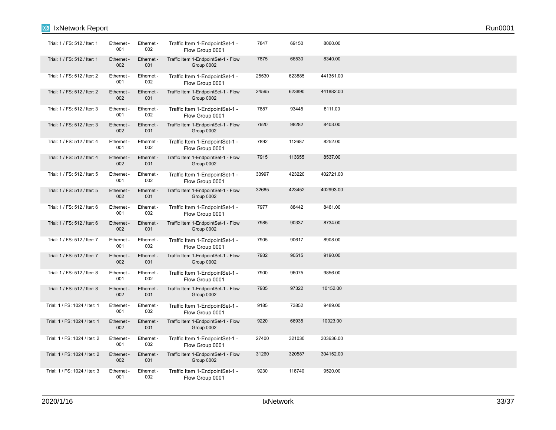| Trial: 1 / FS: 512 / Iter: 1  | Ethernet -<br>001 | Ethernet -<br>002 | Traffic Item 1-EndpointSet-1 -<br>Flow Group 0001 | 7847  | 69150  | 8060.00   |  |  |
|-------------------------------|-------------------|-------------------|---------------------------------------------------|-------|--------|-----------|--|--|
| Trial: 1 / FS: 512 / Iter: 1  | Ethernet -<br>002 | Ethernet -<br>001 | Traffic Item 1-EndpointSet-1 - Flow<br>Group 0002 | 7875  | 66530  | 8340.00   |  |  |
| Trial: 1 / FS: 512 / Iter: 2  | Ethernet -<br>001 | Ethernet -<br>002 | Traffic Item 1-EndpointSet-1 -<br>Flow Group 0001 | 25530 | 623885 | 441351.00 |  |  |
| Trial: 1 / FS: 512 / Iter: 2  | Ethernet -<br>002 | Ethernet -<br>001 | Traffic Item 1-EndpointSet-1 - Flow<br>Group 0002 | 24595 | 623890 | 441882.00 |  |  |
| Trial: 1 / FS: 512 / Iter: 3  | Ethernet -<br>001 | Ethernet -<br>002 | Traffic Item 1-EndpointSet-1 -<br>Flow Group 0001 | 7887  | 93445  | 8111.00   |  |  |
| Trial: 1 / FS: 512 / Iter: 3  | Ethernet -<br>002 | Ethernet -<br>001 | Traffic Item 1-EndpointSet-1 - Flow<br>Group 0002 | 7920  | 98282  | 8403.00   |  |  |
| Trial: 1 / FS: 512 / Iter: 4  | Ethernet -<br>001 | Ethernet -<br>002 | Traffic Item 1-EndpointSet-1 -<br>Flow Group 0001 | 7892  | 112687 | 8252.00   |  |  |
| Trial: 1 / FS: 512 / Iter: 4  | Ethernet -<br>002 | Ethernet -<br>001 | Traffic Item 1-EndpointSet-1 - Flow<br>Group 0002 | 7915  | 113655 | 8537.00   |  |  |
| Trial: 1 / FS: 512 / Iter: 5  | Ethernet -<br>001 | Ethernet -<br>002 | Traffic Item 1-EndpointSet-1 -<br>Flow Group 0001 | 33997 | 423220 | 402721.00 |  |  |
| Trial: 1 / FS: 512 / Iter: 5  | Ethernet -<br>002 | Ethernet -<br>001 | Traffic Item 1-EndpointSet-1 - Flow<br>Group 0002 | 32685 | 423452 | 402993.00 |  |  |
| Trial: 1 / FS: 512 / Iter: 6  | Ethernet -<br>001 | Ethernet -<br>002 | Traffic Item 1-EndpointSet-1 -<br>Flow Group 0001 | 7977  | 88442  | 8461.00   |  |  |
| Trial: 1 / FS: 512 / Iter: 6  | Ethernet -<br>002 | Ethernet -<br>001 | Traffic Item 1-EndpointSet-1 - Flow<br>Group 0002 | 7985  | 90337  | 8734.00   |  |  |
| Trial: 1 / FS: 512 / Iter: 7  | Ethernet -<br>001 | Ethernet -<br>002 | Traffic Item 1-EndpointSet-1 -<br>Flow Group 0001 | 7905  | 90617  | 8908.00   |  |  |
| Trial: 1 / FS: 512 / Iter: 7  | Ethernet -<br>002 | Ethernet -<br>001 | Traffic Item 1-EndpointSet-1 - Flow<br>Group 0002 | 7932  | 90515  | 9190.00   |  |  |
| Trial: 1 / FS: 512 / Iter: 8  | Ethernet -<br>001 | Ethernet -<br>002 | Traffic Item 1-EndpointSet-1 -<br>Flow Group 0001 | 7900  | 96075  | 9856.00   |  |  |
| Trial: 1 / FS: 512 / Iter: 8  | Ethernet<br>002   | Ethernet -<br>001 | Traffic Item 1-EndpointSet-1 - Flow<br>Group 0002 | 7935  | 97322  | 10152.00  |  |  |
| Trial: 1 / FS: 1024 / Iter: 1 | Ethernet -<br>001 | Ethernet -<br>002 | Traffic Item 1-EndpointSet-1 -<br>Flow Group 0001 | 9185  | 73852  | 9489.00   |  |  |
| Trial: 1 / FS: 1024 / Iter: 1 | Ethernet -<br>002 | Ethernet -<br>001 | Traffic Item 1-EndpointSet-1 - Flow<br>Group 0002 | 9220  | 66935  | 10023.00  |  |  |
| Trial: 1 / FS: 1024 / Iter: 2 | Ethernet -<br>001 | Ethernet -<br>002 | Traffic Item 1-EndpointSet-1 -<br>Flow Group 0001 | 27400 | 321030 | 303636.00 |  |  |
| Trial: 1 / FS: 1024 / Iter: 2 | Ethernet -<br>002 | Ethernet -<br>001 | Traffic Item 1-EndpointSet-1 - Flow<br>Group 0002 | 31260 | 320587 | 304152.00 |  |  |
| Trial: 1 / FS: 1024 / Iter: 3 | Ethernet -<br>001 | Ethernet -<br>002 | Traffic Item 1-EndpointSet-1 -<br>Flow Group 0001 | 9230  | 118740 | 9520.00   |  |  |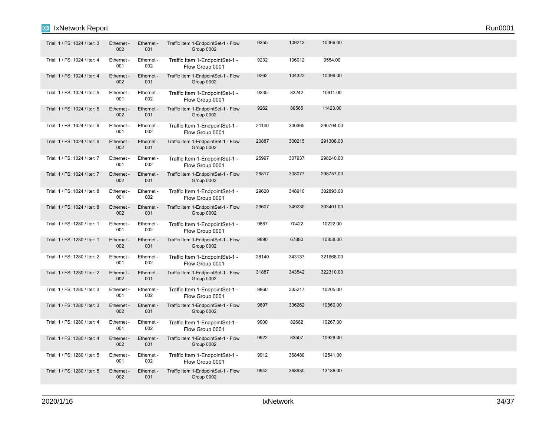| Trial: 1 / FS: 1024 / Iter: 3 | Ethernet -<br>002 | Ethernet -<br>001 | Traffic Item 1-EndpointSet-1 - Flow<br>Group 0002 | 9255  | 109212 | 10066.00  |  |  |
|-------------------------------|-------------------|-------------------|---------------------------------------------------|-------|--------|-----------|--|--|
| Trial: 1 / FS: 1024 / Iter: 4 | Ethernet -<br>001 | Ethernet -<br>002 | Traffic Item 1-EndpointSet-1 -<br>Flow Group 0001 | 9232  | 106012 | 9554.00   |  |  |
| Trial: 1 / FS: 1024 / Iter: 4 | Ethernet -<br>002 | Ethernet -<br>001 | Traffic Item 1-EndpointSet-1 - Flow<br>Group 0002 | 9262  | 104322 | 10099.00  |  |  |
| Trial: 1 / FS: 1024 / Iter: 5 | Ethernet -<br>001 | Ethernet -<br>002 | Traffic Item 1-EndpointSet-1 -<br>Flow Group 0001 | 9235  | 83242  | 10911.00  |  |  |
| Trial: 1 / FS: 1024 / Iter: 5 | Ethernet -<br>002 | Ethernet -<br>001 | Traffic Item 1-EndpointSet-1 - Flow<br>Group 0002 | 9262  | 86565  | 11423.00  |  |  |
| Trial: 1 / FS: 1024 / Iter: 6 | Ethernet -<br>001 | Ethernet -<br>002 | Traffic Item 1-EndpointSet-1 -<br>Flow Group 0001 | 21140 | 300365 | 290794.00 |  |  |
| Trial: 1 / FS: 1024 / Iter: 6 | Ethernet<br>002   | Ethernet -<br>001 | Traffic Item 1-EndpointSet-1 - Flow<br>Group 0002 | 20887 | 300215 | 291308.00 |  |  |
| Trial: 1 / FS: 1024 / Iter: 7 | Ethernet -<br>001 | Ethernet -<br>002 | Traffic Item 1-EndpointSet-1 -<br>Flow Group 0001 | 25997 | 307937 | 298240.00 |  |  |
| Trial: 1 / FS: 1024 / Iter: 7 | Ethernet -<br>002 | Ethernet -<br>001 | Traffic Item 1-EndpointSet-1 - Flow<br>Group 0002 | 26817 | 308077 | 298757.00 |  |  |
| Trial: 1 / FS: 1024 / Iter: 8 | Ethernet -<br>001 | Ethernet -<br>002 | Traffic Item 1-EndpointSet-1 -<br>Flow Group 0001 | 29620 | 348910 | 302893.00 |  |  |
| Trial: 1 / FS: 1024 / Iter: 8 | Ethernet -<br>002 | Ethernet -<br>001 | Traffic Item 1-EndpointSet-1 - Flow<br>Group 0002 | 29607 | 349230 | 303401.00 |  |  |
| Trial: 1 / FS: 1280 / Iter: 1 | Ethernet -<br>001 | Ethernet -<br>002 | Traffic Item 1-EndpointSet-1 -<br>Flow Group 0001 | 9857  | 70422  | 10222.00  |  |  |
| Trial: 1 / FS: 1280 / Iter: 1 | Ethernet -<br>002 | Ethernet -<br>001 | Traffic Item 1-EndpointSet-1 - Flow<br>Group 0002 | 9890  | 67880  | 10858.00  |  |  |
| Trial: 1 / FS: 1280 / Iter: 2 | Ethernet -<br>001 | Ethernet -<br>002 | Traffic Item 1-EndpointSet-1 -<br>Flow Group 0001 | 28140 | 343137 | 321668.00 |  |  |
| Trial: 1 / FS: 1280 / Iter: 2 | Ethernet -<br>002 | Ethernet -<br>001 | Traffic Item 1-EndpointSet-1 - Flow<br>Group 0002 | 31887 | 343542 | 322310.00 |  |  |
| Trial: 1 / FS: 1280 / Iter: 3 | Ethernet -<br>001 | Ethernet -<br>002 | Traffic Item 1-EndpointSet-1 -<br>Flow Group 0001 | 9860  | 335217 | 10205.00  |  |  |
| Trial: 1 / FS: 1280 / Iter: 3 | Ethernet -<br>002 | Ethernet -<br>001 | Traffic Item 1-EndpointSet-1 - Flow<br>Group 0002 | 9897  | 336262 | 10860.00  |  |  |
| Trial: 1 / FS: 1280 / Iter: 4 | Ethernet -<br>001 | Ethernet -<br>002 | Traffic Item 1-EndpointSet-1 -<br>Flow Group 0001 | 9900  | 82682  | 10267.00  |  |  |
| Trial: 1 / FS: 1280 / Iter: 4 | Ethernet -<br>002 | Ethernet -<br>001 | Traffic Item 1-EndpointSet-1 - Flow<br>Group 0002 | 9922  | 83507  | 10926.00  |  |  |
| Trial: 1 / FS: 1280 / Iter: 5 | Ethernet -<br>001 | Ethernet -<br>002 | Traffic Item 1-EndpointSet-1 -<br>Flow Group 0001 | 9912  | 368480 | 12541.00  |  |  |
| Trial: 1 / FS: 1280 / Iter: 5 | Ethernet -<br>002 | Ethernet -<br>001 | Traffic Item 1-EndpointSet-1 - Flow<br>Group 0002 | 9942  | 368930 | 13186.00  |  |  |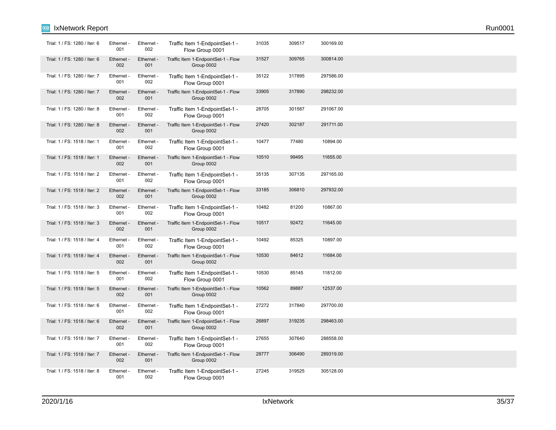| Trial: 1 / FS: 1280 / Iter: 6 | Ethernet -<br>001 | Ethernet -<br>002 | Traffic Item 1-EndpointSet-1 -<br>Flow Group 0001 | 31035 | 309517 | 300169.00 |  |  |
|-------------------------------|-------------------|-------------------|---------------------------------------------------|-------|--------|-----------|--|--|
| Trial: 1 / FS: 1280 / Iter: 6 | Ethernet -<br>002 | Ethernet -<br>001 | Traffic Item 1-EndpointSet-1 - Flow<br>Group 0002 | 31527 | 309765 | 300814.00 |  |  |
| Trial: 1 / FS: 1280 / Iter: 7 | Ethernet -<br>001 | Ethernet -<br>002 | Traffic Item 1-EndpointSet-1 -<br>Flow Group 0001 | 35122 | 317895 | 297586.00 |  |  |
| Trial: 1 / FS: 1280 / Iter: 7 | Ethernet -<br>002 | Ethernet -<br>001 | Traffic Item 1-EndpointSet-1 - Flow<br>Group 0002 | 33905 | 317890 | 298232.00 |  |  |
| Trial: 1 / FS: 1280 / Iter: 8 | Ethernet -<br>001 | Ethernet -<br>002 | Traffic Item 1-EndpointSet-1 -<br>Flow Group 0001 | 28705 | 301587 | 291067.00 |  |  |
| Trial: 1 / FS: 1280 / Iter: 8 | Ethernet -<br>002 | Ethernet -<br>001 | Traffic Item 1-EndpointSet-1 - Flow<br>Group 0002 | 27420 | 302187 | 291711.00 |  |  |
| Trial: 1 / FS: 1518 / Iter: 1 | Ethernet -<br>001 | Ethernet -<br>002 | Traffic Item 1-EndpointSet-1 -<br>Flow Group 0001 | 10477 | 77480  | 10894.00  |  |  |
| Trial: 1 / FS: 1518 / Iter: 1 | Ethernet -<br>002 | Ethernet -<br>001 | Traffic Item 1-EndpointSet-1 - Flow<br>Group 0002 | 10510 | 99495  | 11655.00  |  |  |
| Trial: 1 / FS: 1518 / Iter: 2 | Ethernet -<br>001 | Ethernet -<br>002 | Traffic Item 1-EndpointSet-1 -<br>Flow Group 0001 | 35135 | 307135 | 297165.00 |  |  |
| Trial: 1 / FS: 1518 / Iter: 2 | Ethernet -<br>002 | Ethernet -<br>001 | Traffic Item 1-EndpointSet-1 - Flow<br>Group 0002 | 33185 | 306810 | 297932.00 |  |  |
| Trial: 1 / FS: 1518 / Iter: 3 | Ethernet<br>001   | Ethernet -<br>002 | Traffic Item 1-EndpointSet-1 -<br>Flow Group 0001 | 10482 | 81200  | 10867.00  |  |  |
| Trial: 1 / FS: 1518 / Iter: 3 | Ethernet<br>002   | Ethernet -<br>001 | Traffic Item 1-EndpointSet-1 - Flow<br>Group 0002 | 10517 | 92472  | 11645.00  |  |  |
| Trial: 1 / FS: 1518 / Iter: 4 | Ethernet -<br>001 | Ethernet -<br>002 | Traffic Item 1-EndpointSet-1 -<br>Flow Group 0001 | 10492 | 85325  | 10897.00  |  |  |
| Trial: 1 / FS: 1518 / Iter: 4 | Ethernet -<br>002 | Ethernet -<br>001 | Traffic Item 1-EndpointSet-1 - Flow<br>Group 0002 | 10530 | 84612  | 11684.00  |  |  |
| Trial: 1 / FS: 1518 / Iter: 5 | Ethernet -<br>001 | Ethernet -<br>002 | Traffic Item 1-EndpointSet-1 -<br>Flow Group 0001 | 10530 | 85145  | 11812.00  |  |  |
| Trial: 1 / FS: 1518 / Iter: 5 | Ethernet -<br>002 | Ethernet -<br>001 | Traffic Item 1-EndpointSet-1 - Flow<br>Group 0002 | 10562 | 89887  | 12537.00  |  |  |
| Trial: 1 / FS: 1518 / Iter: 6 | Ethernet -<br>001 | Ethernet -<br>002 | Traffic Item 1-EndpointSet-1 -<br>Flow Group 0001 | 27272 | 317840 | 297700.00 |  |  |
| Trial: 1 / FS: 1518 / Iter: 6 | Ethernet -<br>002 | Ethernet -<br>001 | Traffic Item 1-EndpointSet-1 - Flow<br>Group 0002 | 26897 | 319235 | 298463.00 |  |  |
| Trial: 1 / FS: 1518 / Iter: 7 | Ethernet -<br>001 | Ethernet -<br>002 | Traffic Item 1-EndpointSet-1 -<br>Flow Group 0001 | 27655 | 307640 | 288558.00 |  |  |
| Trial: 1 / FS: 1518 / Iter: 7 | Ethernet -<br>002 | Ethernet -<br>001 | Traffic Item 1-EndpointSet-1 - Flow<br>Group 0002 | 28777 | 306490 | 289319.00 |  |  |
| Trial: 1 / FS: 1518 / Iter: 8 | Ethernet -<br>001 | Ethernet -<br>002 | Traffic Item 1-EndpointSet-1 -<br>Flow Group 0001 | 27245 | 319525 | 305128.00 |  |  |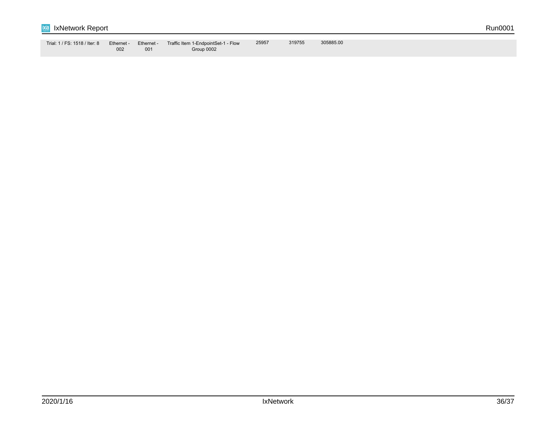